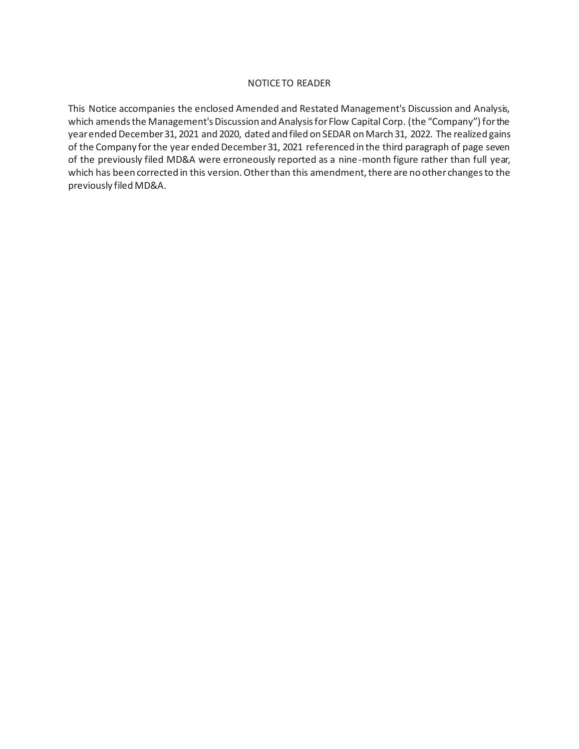# NOTICE TO READER

This Notice accompanies the enclosed Amended and Restated Management's Discussion and Analysis, which amends the Management's Discussion and Analysis for Flow Capital Corp. (the "Company") for the year ended December 31, 2021 and 2020, dated and filed on SEDAR on March 31, 2022. The realized gains of the Company for the year ended December 31, 2021 referenced in the third paragraph of page seven of the previously filed MD&A were erroneously reported as a nine-month figure rather than full year, which has been corrected in this version. Other than this amendment, there are no other changes to the previously filed MD&A.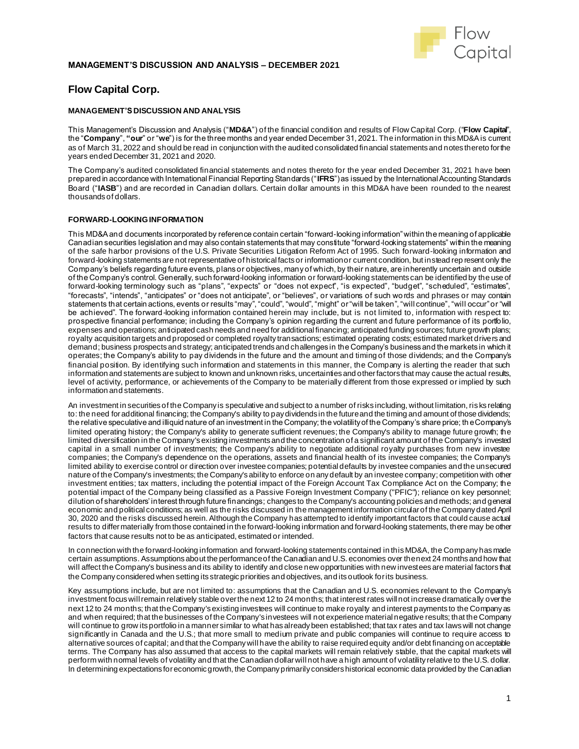

# **Flow Capital Corp.**

# **MANAGEMENT'S DISCUSSION AND ANALYSIS**

This Management's Discussion and Analysis ("**MD&A**") of the financial condition and results of Flow Capital Corp. ("**Flow Capital**", the "**Company**", **"our**" or "**we**") is for the three months and year ended December 31, 2021. The information in this MD&A is current as of March 31, 2022 and should be read in conjunction with the audited consolidated financial statements and notes thereto for the years ended December 31, 2021 and 2020.

The Company's audited consolidated financial statements and notes thereto for the year ended December 31, 2021 have been prepared in accordance with International Financial Reporting Standards ("**IFRS**") as issued by the International Accounting Standards Board ("IASB") and are recorded in Canadian dollars. Certain dollar amounts in this MD&A have been rounded to the nearest thousands of dollars.

## **FORWARD-LOOKING INFORMATION**

This MD&A and documents incorporated by reference contain certain "forward-looking information" within the meaning of applicable Canadian securities legislation and may also contain statements that may constitute "forward-looking statements" within the meaning of the safe harbor provisions of the U.S. Private Securities Litigation Reform Act of 1995. Such forward-looking information and forward-looking statements are not representative of historical facts or information or current condition, but instead rep resent only the Company's beliefs regarding future events, plans or objectives, many of which, by their nature, are inherently uncertain and outside of the Company's control. Generally, such forward-looking information or forward-looking statements can be identified by the use of forward-looking terminology such as "plans", "expects" or "does not expect", "is expected", "budget", "scheduled", "estimates", "forecasts", "intends", "anticipates" or "does not anticipate", or "believes", or variations of such wo rds and phrases or may contain statements that certain actions, events or results "may", "could", "would", "might" or "will be taken", "will continue", "will occur" or "will be achieved". The forward-looking information contained herein may include, but is not limited to, information with respect to: prospective financial performance; including the Company's opinion regarding the current and future performance of its portfolio, expenses and operations; anticipated cash needs and need for additional financing; anticipated funding sources; future growth plans; royalty acquisition targets and proposed or completed royalty transactions; estimated operating costs; estimated market drivers and demand; business prospects and strategy; anticipated trends and challenges in the Company's business and the markets in which it operates; the Company's ability to pay dividends in the future and the amount and timing of those dividends; and the Company's financial position. By identifying such information and statements in this manner, the Company is alerting the reader that such information and statements are subject to known and unknown risks, uncertainties and other factors that may cause the actual results, level of activity, performance, or achievements of the Company to be materially different from those expressed or implied by such information and statements.

An investment in securities of the Company is speculative and subject to a number of risks including, without limitation, ris ks relating to: the need for additional financing; the Company's ability to pay dividends in the future and the timing and amount of those dividends; the relative speculative and illiquid nature of an investment in the Company; the volatility of the Company's share price; th e Company's limited operating history; the Company's ability to generate sufficient revenues; the Company's ability to manage future growth; the limited diversification in the Company's existing investments and the concentration of a significant amount of the Company's invested capital in a small number of investments; the Company's ability to negotiate additional royalty purchases from new investee companies; the Company's dependence on the operations, assets and financial health of its investee companies; the Company's limited ability to exercise control or direction over investee companies; potential defaults by investee companies and the unsecured nature of the Company's investments; the Company's ability to enforce on any default by an investee company; competition with other investment entities; tax matters, including the potential impact of the Foreign Account Tax Compliance Act on the Company; the potential impact of the Company being classified as a Passive Foreign Investment Company ("PFIC"); reliance on key personnel; dilution of shareholders' interest through future financings; changes to the Company's accounting policies and methods; and general economic and political conditions; as well as the risks discussed in the management information circular of the Company dated April 30, 2020 and the risks discussed herein. Although the Company has attempted to identify important factors that could cause actual results to differ materially from those contained in the forward-looking information and forward-looking statements, there may be other factors that cause results not to be as anticipated, estimated or intended.

In connection with the forward-looking information and forward-looking statements contained in this MD&A, the Company has made certain assumptions. Assumptions about the performance of the Canadian and U.S. economies over the next 24 months and how that will affect the Company's business and its ability to identify and close new opportunities with new investees are material factors that the Company considered when setting its strategic priorities and objectives, and its outlook for its business.

Key assumptions include, but are not limited to: assumptions that the Canadian and U.S. economies relevant to the Company's investment focus will remain relatively stable over the next 12 to 24 months; that interest rates will not increase dramatically over the next 12 to 24 months; that the Company's existing investees will continue to make royalty and interest payments to the Company as and when required; that the businesses of the Company's investees will not experience material negative results; that the Company will continue to grow its portfolio in a manner similar to what has already been established; that tax rates and tax laws will not change significantly in Canada and the U.S.; that more small to medium private and public companies will continue to require access to alternative sources of capital; and that the Company will have the ability to raise required equity and/or debt financing on acceptable terms. The Company has also assumed that access to the capital markets will remain relatively stable, that the capital markets will perform with normal levels of volatility and that the Canadian dollar will not have a high amount of volatility relative to the U.S. dollar. In determining expectations for economic growth, the Company primarily considers historical economic data provided by the Canadian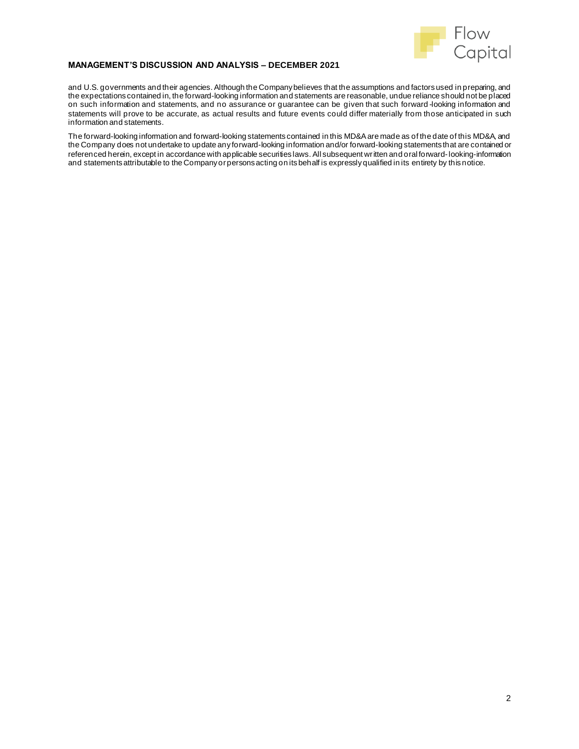

and U.S. governments and their agencies. Although the Company believes that the assumptions and factors used in preparing, and the expectations contained in, the forward-looking information and statements are reasonable, undue reliance should not be placed on such information and statements, and no assurance or guarantee can be given that such forward -looking information and statements will prove to be accurate, as actual results and future events could differ materially from those anticipated in such information and statements.

The forward-looking information and forward-looking statements contained in this MD&A are made as of the date of this MD&A, and the Company does not undertake to update any forward-looking information and/or forward-looking statements that are contained or referenced herein, except in accordance with applicable securities laws. All subsequent written and oral forward-looking-information and statements attributable to the Company or persons acting on its behalf is expressly qualified in its entirety by this notice.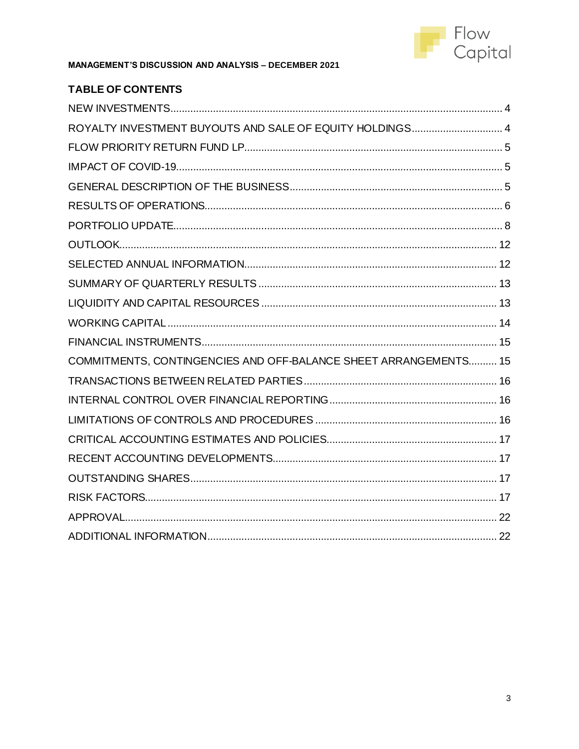

# **TABLE OF CONTENTS**

| ROYALTY INVESTMENT BUYOUTS AND SALE OF EQUITY HOLDINGS 4         |  |
|------------------------------------------------------------------|--|
|                                                                  |  |
|                                                                  |  |
|                                                                  |  |
|                                                                  |  |
|                                                                  |  |
|                                                                  |  |
|                                                                  |  |
|                                                                  |  |
|                                                                  |  |
|                                                                  |  |
|                                                                  |  |
| COMMITMENTS, CONTINGENCIES AND OFF-BALANCE SHEET ARRANGEMENTS 15 |  |
|                                                                  |  |
|                                                                  |  |
|                                                                  |  |
|                                                                  |  |
|                                                                  |  |
|                                                                  |  |
|                                                                  |  |
|                                                                  |  |
|                                                                  |  |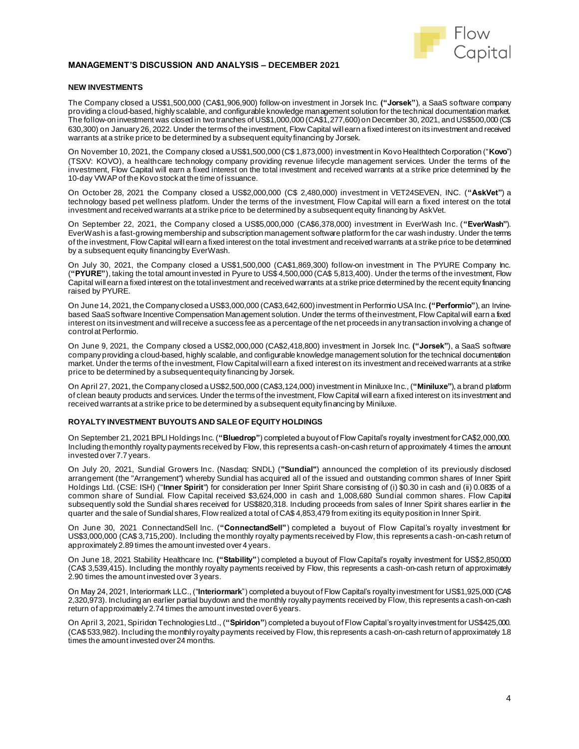

### <span id="page-4-0"></span>**NEW INVESTMENTS**

The Company closed a US\$1,500,000 (CA\$1,906,900) follow-on investment in Jorsek Inc. **("Jorsek"**), a SaaS software company providing a cloud-based, highly scalable, and configurable knowledge management solution for the technical documentation market. The follow-on investment was closed in two tranches of US\$1,000,000 (CA\$1,277,600) on December 30, 2021, and US\$500,000 (C\$ 630,300) on January 26, 2022. Under the terms of the investment, Flow Capital will earn a fixed interest on its investment and received warrants at a strike price to be determined by a subsequent equity financing by Jorsek.

On November 10, 2021, the Company closed a US\$1,500,000 (C\$ 1,873,000) investment in Kovo Healthtech Corporation ("**Kovo**") (TSXV: KOVO), a healthcare technology company providing revenue lifecycle management services. Under the terms of the investment, Flow Capital will earn a fixed interest on the total investment and received warrants at a strike price determined by the 10-day VWAP of the Kovo stock at the time of issuance.

On October 28, 2021 the Company closed a US\$2,000,000 (C\$ 2,480,000) investment in VET24SEVEN, INC. (**"AskVet"**) a technology based pet wellness platform. Under the terms of the investment, Flow Capital will earn a fixed interest on the total investment and received warrants at a strike price to be determined by a subsequent equity financing by AskVet.

On September 22, 2021, the Company closed a US\$5,000,000 (CA\$6,378,000) investment in EverWash Inc. (**"EverWash"**). EverWash is a fast-growing membership and subscription management software platformfor the car wash industry. Under the terms of the investment, Flow Capital will earn a fixed interest on the total investment and received warrants at a strike price to be determined by a subsequent equity financing by EverWash.

On July 30, 2021, the Company closed a US\$1,500,000 (CA\$1,869,300) follow-on investment in The PYURE Company Inc. (**"PYURE"**), taking the total amount invested in Pyure to US\$ 4,500,000 (CA\$ 5,813,400). Under the terms of the investment, Flow Capital will earn a fixed interest on the total investment and received warrants at a strike price determined by the recent equity financing raised by PYURE.

On June 14, 2021, the Company closed a US\$3,000,000 (CA\$3,642,600)investment in Performio USA Inc. **("Performio"**), an Irvinebased SaaS software Incentive Compensation Management solution. Under the terms of the investment, Flow Capital will earn a fixed interest on its investment and will receive a success fee as a percentage of the net proceeds in any transaction involving a change of control at Performio.

On June 9, 2021, the Company closed a US\$2,000,000 (CA\$2,418,800) investment in Jorsek Inc. **("Jorsek"**), a SaaS software company providing a cloud-based, highly scalable, and configurable knowledge management solution for the technical documentation market. Under the terms of the investment, Flow Capital will earn a fixed interest on its investment and received warrants at a strike price to be determined by a subsequent equity financing by Jorsek.

On April 27, 2021, the Company closed a US\$2,500,000 (CA\$3,124,000) investment in Miniluxe Inc., (**"Miniluxe"**), a brand platform of clean beauty products and services. Under the terms of the investment, Flow Capital will earn a fixed interest on its investment and received warrants at a strike price to be determined by a subsequent equity financing by Miniluxe.

#### <span id="page-4-1"></span>**ROYALTY INVESTMENT BUYOUTS AND SALE OF EQUITY HOLDINGS**

On September 21, 2021 BPLI Holdings Inc. (**"Bluedrop"**) completed a buyout of Flow Capital's royalty investment for CA\$2,000,000. Including the monthly royalty payments received by Flow, this represents a cash-on-cash return of approximately 4 times the amount invested over 7.7 years.

On July 20, 2021, Sundial Growers Inc. (Nasdaq: SNDL) (**"Sundial"**) announced the completion of its previously disclosed arrangement (the "Arrangement") whereby Sundial has acquired all of the issued and outstanding common shares of Inner Spirit Holdings Ltd. (CSE: ISH) ("**Inner Spirit**") for consideration per Inner Spirit Share consisting of (i) \$0.30 in cash and (ii) 0.0835 of a common share of Sundial. Flow Capital received \$3,624,000 in cash and 1,008,680 Sundial common shares. Flow Capital subsequently sold the Sundial shares received for US\$820,318. Including proceeds from sales of Inner Spirit shares earlier in the quarter and the sale of Sundial shares, Flow realized a total of CA\$ 4,853,479 from exiting its equity position in Inner Spirit.

On June 30, 2021 ConnectandSell Inc. (**"ConnectandSell"**) completed a buyout of Flow Capital's royalty investment for US\$3,000,000 (CA\$ 3,715,200). Including the monthly royalty payments received by Flow, this represents a cash-on-cash return of approximately 2.89 times the amount invested over 4 years.

On June 18, 2021 Stability Healthcare Inc. **("Stability"**) completed a buyout of Flow Capital's royalty investment for US\$2,850,000 (CA\$ 3,539,415). Including the monthly royalty payments received by Flow, this represents a cash-on-cash return of approximately 2.90 times the amount invested over 3 years.

On May 24, 2021, Interiormark LLC., ("**Interiormark**") completed a buyout of Flow Capital's royalty investment for US\$1,925,000 (CA\$ 2,320,973). Including an earlier partial buydown and the monthly royalty payments received by Flow, this represents a cash-on-cash return of approximately 2.74 times the amount invested over 6 years.

On April 3, 2021, Spiridon Technologies Ltd., (**"Spiridon"**) completed a buyout of Flow Capital's royalty investment for US\$425,000. (CA\$ 533,982). Including the monthly royalty payments received by Flow, this represents a cash-on-cash return of approximately 1.8 times the amount invested over 24 months.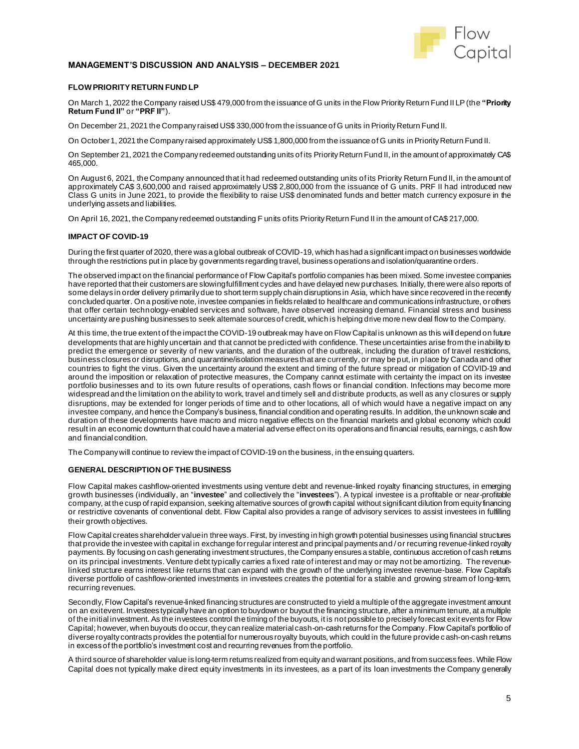

# <span id="page-5-0"></span>**FLOW PRIORITY RETURN FUND LP**

On March 1, 2022 the Company raised US\$ 479,000 from the issuance of G units in the Flow Priority Return Fund II LP (the **"Priority Return Fund II"** or **"PRF II"**).

On December 21, 2021 the Company raised US\$ 330,000 from the issuance of G units in Priority Return Fund II.

On October 1, 2021 the Company raised approximately US\$ 1,800,000 from the issuance of G units in Priority Return Fund II.

On September 21, 2021 the Company redeemed outstanding units of its Priority Return Fund II, in the amount of approximately CA\$ 465,000.

On August 6, 2021, the Company announced that it had redeemed outstanding units of its Priority Return Fund II, in the amount of approximately CA\$ 3,600,000 and raised approximately US\$ 2,800,000 from the issuance of G units. PRF II had introduced new Class G units in June 2021, to provide the flexibility to raise US\$ denominated funds and better match currency exposure in the underlying assets and liabilities.

<span id="page-5-1"></span>On April 16, 2021, the Company redeemed outstanding F units of its Priority Return Fund II in the amount of CA\$ 217,000.

#### **IMPACT OF COVID-19**

During the first quarter of 2020, there was a global outbreak of COVID-19, which has had a significant impact on businesses worldwide through the restrictions put in place by governments regarding travel, business operations and isolation/quarantine orders.

The observed impact on the financial performance of Flow Capital's portfolio companies has been mixed. Some investee companies have reported that their customers are slowing fulfillment cycles and have delayed new purchases. Initially, there were also reports of some delays in order delivery primarily due to short term supply chain disruptions in Asia, which have since recovered in the recently concluded quarter. On a positive note, investee companies in fields related to healthcare and communications infrastructure, or others that offer certain technology-enabled services and software, have observed increasing demand. Financial stress and business uncertainty are pushing businesses to seek alternate sources of credit, which is helping drive more new deal flow to the Company.

At this time, the true extent of the impact the COVID-19 outbreak may have on Flow Capital is unknown as this will depend on future developments that are highly uncertain and that cannot be predicted with confidence. These uncertainties arise from the inability to predict the emergence or severity of new variants, and the duration of the outbreak, including the duration of travel restrictions, business closures or disruptions, and quarantine/isolation measures that are currently, or may be put, in place by Canada and other countries to fight the virus. Given the uncertainty around the extent and timing of the future spread or mitigation of COVID-19 and around the imposition or relaxation of protective measures, the Company cannot estimate with certainty the impact on its investee portfolio businesses and to its own future results of operations, cash flows or financial condition. Infections may become more widespread and the limitation on the ability to work, travel and timely sell and distribute products, as well as any closures or supply disruptions, may be extended for longer periods of time and to other locations, all of which would have a negative impact on any investee company, and hence the Company's business, financial condition and operating results. In addition, the unknown scale and duration of these developments have macro and micro negative effects on the financial markets and global economy which could result in an economic downturn that could have a material adverse effect on its operations and financial results, earnings, c ash flow and financial condition.

<span id="page-5-2"></span>The Company will continue to review the impact of COVID-19 on the business, in the ensuing quarters.

#### **GENERAL DESCRIPTION OF THE BUSINESS**

Flow Capital makes cashflow-oriented investments using venture debt and revenue-linked royalty financing structures, in emerging growth businesses (individually, an "**investee**" and collectively the "**investees**"). A typical investee is a profitable or near-profitable company, at the cusp of rapid expansion, seeking alternative sources of growth capital without significant dilution from equity financing or restrictive covenants of conventional debt. Flow Capital also provides a range of advisory services to assist investees in fulfilling their growth objectives.

Flow Capital creates shareholder value in three ways. First, by investing in high growth potential businesses using financial structures that provide the investee with capital in exchange for regular interest and principal payments and / or recurring revenue-linked royalty payments. By focusing on cash generating investment structures, the Company ensures a stable, continuous accretion of cash returns on its principal investments. Venture debt typically carries a fixed rate of interest and may or may not be amortizing. The revenuelinked structure earns interest like returns that can expand with the growth of the underlying investee revenue-base. Flow Capital's diverse portfolio of cashflow-oriented investments in investees creates the potential for a stable and growing stream of long-term, recurring revenues.

Secondly, Flow Capital's revenue-linked financing structures are constructed to yield a multiple of the aggregate investment amount on an exit event. Investees typically have an option to buydown or buyout the financing structure, after a minimum tenure, at a multiple of the initial investment. As the investees control the timing of the buyouts, it is not possible to precisely forecast exit events for Flow Capital; however, when buyouts do occur, they can realize material cash-on-cash returns for the Company. Flow Capital's portfolio of diverse royalty contracts provides the potential for numerous royalty buyouts, which could in the future provide c ash-on-cash returns in excess of the portfolio's investment cost and recurring revenues from the portfolio.

A third source of shareholder value is long-term returns realized from equity and warrant positions, and from success fees. While Flow Capital does not typically make direct equity investments in its investees, as a part of its loan investments the Company generally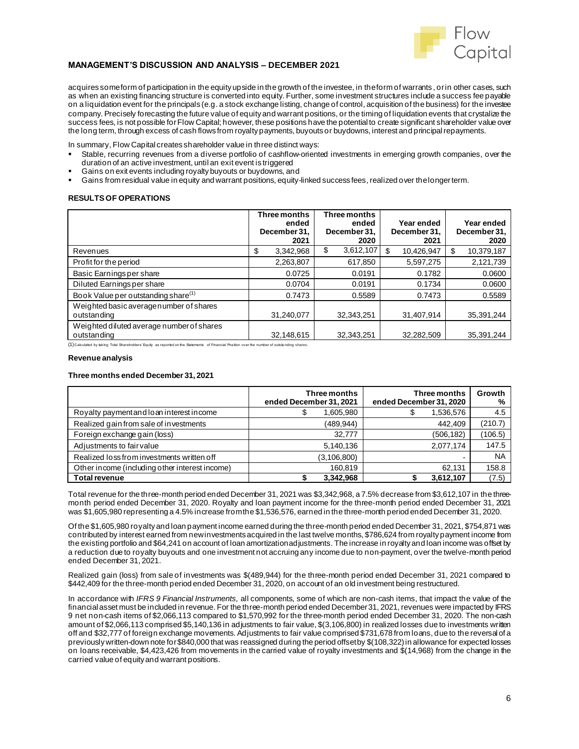

acquires some form of participation in the equity upside in the growth of the investee, in the form of warrants , or in other cases, such as when an existing financing structure is converted into equity. Further, some investment structures include a success fee payable on a liquidation event for the principals (e.g. a stock exchange listing, change of control, acquisition of the business) for the investee company. Precisely forecasting the future value of equity and warrant positions, or the timing of liquidation events that crystalize the success fees, is not possible for Flow Capital; however, these positions have the potential to create significant shareholder value over the long term, through excess of cash flows from royalty payments, buyouts or buydowns, interest and principal repayments.

In summary, Flow Capital creates shareholder value in three distinct ways:

- Stable, recurring revenues from a diverse portfolio of cashflow-oriented investments in emerging growth companies, over the duration of an active investment, until an exit event is triggered
- Gains on exit events including royalty buyouts or buydowns, and
- <span id="page-6-0"></span>Gains from residual value in equity and warrant positions, equity-linked success fees, realized over the longerterm.

# **RESULTS OF OPERATIONS**

|                                                          | Three months<br>ended<br>December 31,<br>2021 | Three months<br>ended<br>December 31,<br>2020 | Year ended<br>December 31,<br>2021 | Year ended<br>December 31,<br>2020 |
|----------------------------------------------------------|-----------------------------------------------|-----------------------------------------------|------------------------------------|------------------------------------|
| Revenues                                                 | 3,342,968<br>\$                               | \$<br>3,612,107                               | \$<br>10,426,947                   | 10,379,187<br>\$                   |
| Profit for the period                                    | 2,263,807                                     | 617,850                                       | 5,597,275                          | 2,121,739                          |
| Basic Earningsper share                                  | 0.0725                                        | 0.0191                                        | 0.1782                             | 0.0600                             |
| Diluted Earnings per share                               | 0.0704                                        | 0.0191                                        | 0.1734                             | 0.0600                             |
| Book Value per outstanding share <sup>(1)</sup>          | 0.7473                                        | 0.5589                                        | 0.7473                             | 0.5589                             |
| Weighted basic averagen umber of shares<br>outstanding   | 31,240,077                                    | 32,343,251                                    | 31,407,914                         | 35,391,244                         |
| Weighted diluted average number of shares<br>outstanding | 32,148,615                                    | 32,343,251                                    | 32.282.509                         | 35,391,244                         |

(1)Calculated by taking Total Shareholders' Equity as reported on the Statements of Financial Position over the number of outsta nding shares.

#### **Revenue analysis**

### **Three months ended December 31, 2021**

|                                                | Three months<br>ended December 31, 2021 | Three months<br>ended December 31, 2020 | Growth<br>% |
|------------------------------------------------|-----------------------------------------|-----------------------------------------|-------------|
| Royalty payment and loan interest in come      | 1,605,980<br>S                          | 1,536,576<br>۰D                         | 4.5         |
| Realized gain from sale of investments         | (489, 944)                              | 442.409                                 | (210.7)     |
| Foreign exchange gain (loss)                   | 32.777                                  | (506, 182)                              | (106.5)     |
| Adjustments to fair value                      | 5,140,136                               | 2,077,174                               | 147.5       |
| Realized loss from investments written off     | (3, 106, 800)                           |                                         | <b>NA</b>   |
| Other income (including other interest income) | 160.819                                 | 62.131                                  | 158.8       |
| <b>Total revenue</b>                           | 3,342,968                               | 3,612,107                               | (7.5)       |

Total revenue for the three-month period ended December 31, 2021 was \$3,342,968, a 7.5% decrease from \$3,612,107 in the threemonth period ended December 31, 2020. Royalty and loan payment income for the three-month period ended December 31, 2021 was \$1,605,980 representing a 4.5% increase from the \$1,536,576, earned in the three-month period ended December 31, 2020.

Of the \$1,605,980 royalty and loan payment income earned during the three-month period ended December 31, 2021, \$754,871 was contributed by interest earned from new investments acquired in the last twelve months, \$786,624 from royalty payment income from the existing portfolio and \$64,241 on account of loan amortization adjustments. The increase in royalty and loan income was offset by a reduction due to royalty buyouts and one investment not accruing any income due to non-payment, over the twelve-month period ended December 31, 2021.

Realized gain (loss) from sale of investments was \$(489,944) for the three-month period ended December 31, 2021 compared to \$442,409 for the three-month period ended December 31, 2020, on account of an old investment being restructured.

In accordance with *IFRS 9 Financial Instruments,* all components, some of which are non-cash items, that impact the value of the financial asset must be included in revenue. For the three-month period ended December 31, 2021, revenues were impacted by IFRS 9 net non-cash items of \$2,066,113 compared to \$1,570,992 for the three-month period ended December 31, 2020. The non-cash amount of \$2,066,113 comprised \$5,140,136 in adjustments to fair value, \$(3,106,800) in realized losses due to investments written off and \$32,777 of foreign exchange movements. Adjustments to fair value comprised \$731,678 from loans, due to the reversal of a previously written-down note for \$840,000 that was reassigned during the period offset by \$(108,322) in allowance for expected losses on loans receivable, \$4,423,426 from movements in the carried value of royalty investments and \$(14,968) from the change in the carried value of equity and warrant positions.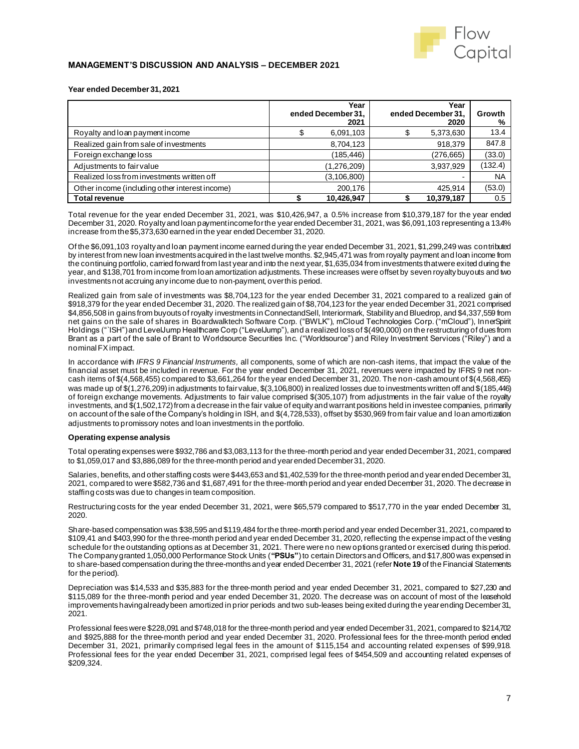

#### **Year ended December 31, 2021**

|                                                | Year<br>ended December 31,<br>2021 | Year<br>ended December 31,<br>2020 |           |
|------------------------------------------------|------------------------------------|------------------------------------|-----------|
| Royalty and loan payment income                | 6,091,103                          | 5,373,630                          | 13.4      |
| Realized gain from sale of investments         | 8,704,123                          | 918,379                            | 847.8     |
| Foreign exchange loss                          | (185, 446)                         | (276, 665)                         | (33.0)    |
| Adjustments to fair value                      | (1,276,209)                        | 3,937,929                          | (132.4)   |
| Realized loss from investments written off     | (3, 106, 800)                      |                                    | <b>NA</b> |
| Other income (including other interest income) | 200.176                            | 425.914                            | (53.0)    |
| <b>Total revenue</b>                           | 10,426,947                         | 10,379,187                         | 0.5       |

Total revenue for the year ended December 31, 2021, was \$10,426,947, a 0.5% increase from \$10,379,187 for the year ended December 31, 2020. Royalty and loan payment income for the yearended December 31, 2021, was \$6,091,103 representing a 13.4% increase from the \$5,373,630 earned in the year ended December 31, 2020.

Of the \$6,091,103 royalty and loan payment income earned during the year ended December 31, 2021, \$1,299,249 was contributed by interest from new loan investments acquired in the last twelve months. \$2,945,471 was from royalty payment and loan income from the continuing portfolio, carried forward from last year and into the next year, \$1,635,034 from investments that were exited during the year, and \$138,701 from income from loan amortization adjustments. These increases were offset by seven royalty buyouts and two investmentsnot accruing any income due to non-payment, over this period.

Realized gain from sale of investments was \$8,704,123 for the year ended December 31, 2021 compared to a realized gain of \$918,379 for the year ended December 31, 2020. The realized gain of \$8,704,123 for the year ended December 31, 2021 comprised \$4,856,508 in gains from buyouts of royalty investments in ConnectandSell, Interiormark, Stability and Bluedrop, and \$4,337,559 from net gains on the sale of shares in Boardwalktech Software Corp. ("BWLK"), mCloud Technologies Corp. ("mCloud"), InnerSpirit Holdings ("`ISH")and LevelJump Healthcare Corp ("LevelJump"), and a realized loss of \$(490,000) on the restructuring of dues from Brant as a part of the sale of Brant to Worldsource Securities Inc. ("Worldsource") and Riley Investment Services ("Riley") and a nominal FX impact.

In accordance with *IFRS 9 Financial Instruments,* all components, some of which are non-cash items, that impact the value of the financial asset must be included in revenue. For the year ended December 31, 2021, revenues were impacted by IFRS 9 net noncash items of \$(4,568,455) compared to \$3,661,264 for the year ended December 31, 2020. The non-cash amount of \$(4,568,455) was made up of \$(1,276,209) in adjustments to fair value, \$(3,106,800) in realized losses due to investments written off and \$(185,446) of foreign exchange movements. Adjustments to fair value comprised \$(305,107) from adjustments in the fair value of the royalty investments, and \$(1,502,172) from a decrease in the fair value of equity and warrant positions held in investee companies, primarily on account of the sale of the Company's holding in ISH, and \$(4,728,533), offset by \$530,969 from fair value and loan amortization adjustments to promissory notes and loan investments in the portfolio.

#### **Operating expense analysis**

Total operating expenses were \$932,786 and \$3,083,113 for the three-month period and year ended December 31, 2021, compared to \$1,059,017 and \$3,886,089 for the three-month period and yearended December 31, 2020.

Salaries, benefits, and other staffing costs were \$443,653 and \$1,402,539 for the three-month period and yearended December 31, 2021, compared to were \$582,736 and \$1,687,491 for the three-month period and year ended December 31, 2020. The decrease in staffing costs was due to changes in team composition.

Restructuring costs for the year ended December 31, 2021, were \$65,579 compared to \$517,770 in the year ended December 31, 2020.

Share-based compensation was \$38,595 and \$119,484 for the three-month period and year ended December 31, 2021, compared to \$109,41 and \$403,990 for the three-month period and year ended December 31, 2020, reflecting the expense impact of the vesting schedule for the outstanding options as at December 31, 2021. There were no new options granted or exercised during this period. The Company granted 1,050,000 Performance Stock Units (**"PSUs"**) to certain Directors and Officers, and \$17,800 was expensed in to share-based compensation during the three-months and year ended December 31, 2021 (refer **Note 19** of the Financial Statements for the period).

Depreciation was \$14,533 and \$35,883 for the three-month period and year ended December 31, 2021, compared to \$27,230 and \$115,089 for the three-month period and year ended December 31, 2020. The decrease was on account of most of the leasehold improvements having already been amortized in prior periods and two sub-leases being exited during the yearending December 31, 2021.

Professional fees were \$228,091 and \$748,018 for the three-month period and year ended December 31, 2021, compared to \$214,702 and \$925,888 for the three-month period and year ended December 31, 2020. Professional fees for the three-month period ended December 31, 2021, primarily comprised legal fees in the amount of \$115,154 and accounting related expenses of \$99,918. Professional fees for the year ended December 31, 2021, comprised legal fees of \$454,509 and accounting related expenses of \$209,324.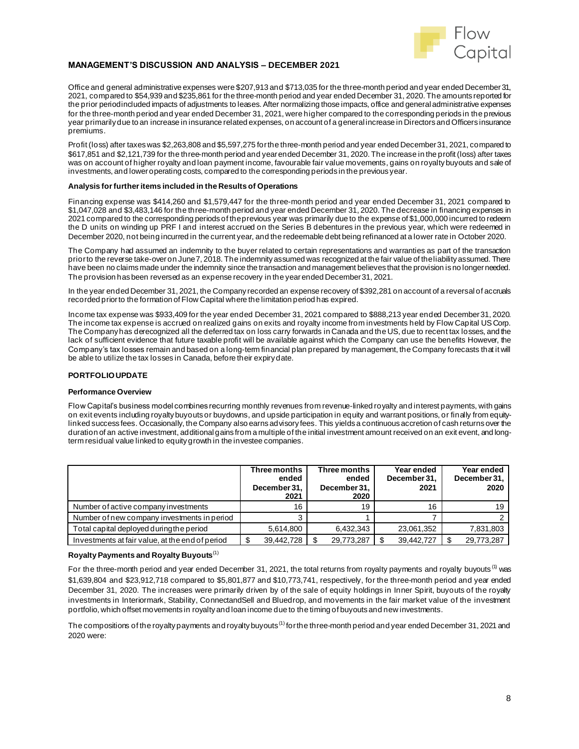

Office and general administrative expenses were \$207,913 and \$713,035 for the three-month period and year ended December 31, 2021, compared to \$54,939 and \$235,861 for the three-month period and year ended December 31, 2020. The amounts reported for the prior period included impacts of adjustments to leases. After normalizing those impacts, office and general administrative expenses for the three-month period and year ended December 31, 2021, were higher compared to the corresponding periods in the previous year primarily due to an increase in insurance related expenses, on account of a general increase in Directors and Officers insurance premiums.

Profit (loss) after taxes was \$2,263,808 and \$5,597,275 for the three-month period and year ended December 31, 2021, compared to \$617,851 and \$2,121,739 for the three-month period and yearended December 31, 2020. The increase in the profit (loss) after taxes was on account of higher royalty and loan payment income, favourable fair value movements, gains on royalty buyouts and sale of investments, and lower operating costs, compared to the corresponding periods in the previous year.

#### **Analysis for further items included in the Results of Operations**

Financing expense was \$414,260 and \$1,579,447 for the three-month period and year ended December 31, 2021 compared to \$1,047,028 and \$3,483,146 for the three-month period and year ended December 31, 2020. The decrease in financing expenses in 2021 compared to the corresponding periods of the previous year was primarily due to the expense of \$1,000,000 incurred to redeem the D units on winding up PRF I and interest accrued on the Series B debentures in the previous year, which were redeemed in December 2020, not being incurred in the current year, and the redeemable debt being refinanced at a lower rate in October 2020.

The Company had assumed an indemnity to the buyer related to certain representations and warranties as part of the transaction prior to the reverse take-over on June 7, 2018. The indemnity assumed was recognized at the fair value of the liability assumed. There have been no claims made under the indemnity since the transaction and management believes that the provision is no longer needed. The provision has been reversed as an expense recovery in the year ended December 31, 2021.

In the year ended December 31, 2021, the Company recorded an expense recovery of \$392,281 on account of a reversal of accruals recorded prior to the formation of Flow Capital where the limitation period has expired.

Income tax expense was \$933,409 for the year ended December 31, 2021 compared to \$888,213 year ended December 31, 2020. The income tax expense is accrued on realized gains on exits and royalty income from investments held by Flow Capital US Corp. The Company has derecognized all the deferred tax on loss carry forwards in Canada and the US, due to recent tax losses, and the lack of sufficient evidence that future taxable profit will be available against which the Company can use the benefits However, the Company's tax losses remain and based on a long-term financial plan prepared by management, the Company forecasts that it will be able to utilize the tax losses in Canada, before their expiry date.

# <span id="page-8-0"></span>**PORTFOLIO UPDATE**

#### **Performance Overview**

Flow Capital's business model combines recurring monthly revenues from revenue-linked royalty and interest payments, with gains on exit events including royalty buyouts or buydowns, and upside participation in equity and warrant positions, or finally from equitylinked success fees. Occasionally, the Company also earns advisory fees. This yields a continuous accretion of cash returns over the duration of an active investment, additional gains from a multiple of the initial investment amount received on an exit event, and longterm residual value linked to equity growth in the investee companies.

|                                                 | Three months<br>ended<br>December 31,<br>2021 | Three months<br>ended<br>December 31,<br>2020 | Year ended<br>December 31,<br>2021 | Year ended<br>December 31,<br>2020 |
|-------------------------------------------------|-----------------------------------------------|-----------------------------------------------|------------------------------------|------------------------------------|
| Number of active company investments            | 16                                            | 19                                            | 16                                 | 19                                 |
| Number of new company investments in period     |                                               |                                               |                                    |                                    |
| Total capital deployed during the period        | 5,614,800                                     | 6,432,343                                     | 23,061,352                         | 7,831,803                          |
| Investments at fair value, at the end of period | 39,442,728                                    | 29,773,287                                    | 39,442,727                         | 29,773,287                         |

#### **Royalty Payments and Royalty Buyouts**(1)

For the three-month period and year ended December 31, 2021, the total returns from royalty payments and royalty buyouts  $<sup>(1)</sup>$  was</sup> \$1,639,804 and \$23,912,718 compared to \$5,801,877 and \$10,773,741, respectively, for the three-month period and year ended December 31, 2020. The increases were primarily driven by of the sale of equity holdings in Inner Spirit, buyouts of the royalty investments in Interiormark, Stability, ConnectandSell and Bluedrop, and movements in the fair market value of the investment portfolio, which offset movements in royalty and loan income due to the timing of buyouts and new investments.

The compositions of the royalty payments and royalty buyouts<sup>(1)</sup> for the three-month period and year ended December 31, 2021 and 2020 were: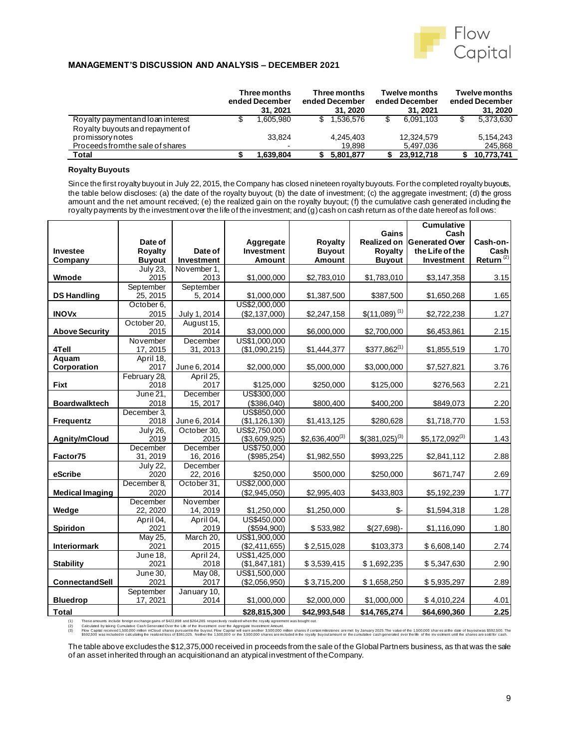

|                                   | Three months<br>ended December<br>31, 2021 |   | Three months<br>ended December<br>31, 2020 | <b>Twelve months</b><br>ended December<br>31, 2021 | <b>Twelve months</b><br>ended December<br>31, 2020 |
|-----------------------------------|--------------------------------------------|---|--------------------------------------------|----------------------------------------------------|----------------------------------------------------|
| Royalty payment and loan interest | 1.605.980                                  | S | 1.536.576                                  | 6.091.103                                          | \$<br>5,373,630                                    |
| Royalty buyouts and repayment of  |                                            |   |                                            |                                                    |                                                    |
| promissorynotes                   | 33.824                                     |   | 4,245,403                                  | 12,324,579                                         | 5,154,243                                          |
| Proceeds from the sale of shares  | $\blacksquare$                             |   | 19.898                                     | 5,497,036                                          | 245.868                                            |
| Total                             | 1.639.804                                  |   | 5.801.877                                  | 23.912.718                                         | 10.773.741                                         |

### **Royalty Buyouts**

Since the first royalty buyout in July 22, 2015, the Company has closed nineteen royalty buyouts. For the completed royalty buyouts, the table below discloses: (a) the date of the royalty buyout; (b) the date of investment; (c) the aggregate investment; (d) the gross amount and the net amount received; (e) the realized gain on the royalty buyout; (f) the cumulative cash generated including the royalty payments by the investment over the life of the investment; and (g) cash on cash return as of the date hereof as foll ows:

|                        |                       |                      |                                |                    |                             | <b>Cumulative</b>      |                       |
|------------------------|-----------------------|----------------------|--------------------------------|--------------------|-----------------------------|------------------------|-----------------------|
|                        | Date of               |                      | Aggregate                      | <b>Royalty</b>     | Gains<br><b>Realized on</b> | Cash<br>Generated Over | Cash-on-              |
| Investee               | <b>Royalty</b>        | Date of              | Investment                     | <b>Buyout</b>      | <b>Royalty</b>              | the Life of the        | Cash                  |
| Company                | <b>Buyout</b>         | Investment           | <b>Amount</b>                  | Amount             | <b>Buyout</b>               | Investment             | Return <sup>(2)</sup> |
|                        | July 23,              | November 1,          |                                |                    |                             |                        |                       |
| Wmode                  | 2015                  | 2013                 | \$1,000,000                    | \$2,783,010        | \$1,783,010                 | \$3,147,358            | 3.15                  |
|                        | September             | September            |                                |                    |                             |                        |                       |
| <b>DS Handling</b>     | 25, 2015              | 5, 2014              | \$1,000,000                    | \$1,387,500        | \$387,500                   | \$1,650,268            | 1.65                  |
|                        | October 6,            |                      | US\$2,000,000                  |                    |                             |                        |                       |
| <b>INOVx</b>           | 2015                  | July 1, 2014         | (\$2,137,000)                  | \$2,247,158        | $$(11,089)^{(1)}$$          | \$2,722,238            | 1.27                  |
|                        | October 20,           | August 15,           |                                |                    |                             |                        |                       |
| <b>Above Security</b>  | 2015                  | 2014                 | \$3,000,000                    | \$6,000,000        | \$2,700,000                 | \$6,453,861            | 2.15                  |
| 4Tell                  | November<br>17, 2015  | December<br>31, 2013 | US\$1.000.000<br>(\$1,090,215) | \$1,444,377        | $$377,862^{(1)}$            | \$1,855,519            | 1.70                  |
| Aquam                  | April 18,             |                      |                                |                    |                             |                        |                       |
| Corporation            | 2017                  | June 6, 2014         | \$2,000,000                    | \$5,000,000        | \$3,000,000                 | \$7,527,821            | 3.76                  |
|                        | February 28,          | April 25,            |                                |                    |                             |                        |                       |
| <b>Fixt</b>            | 2018                  | 2017                 | \$125,000                      | \$250,000          | \$125,000                   | \$276,563              | 2.21                  |
|                        | June 21,              | December             | US\$300,000                    |                    |                             |                        |                       |
| <b>Boardwalktech</b>   | 2018                  | 15, 2017             | (\$386,040)                    | \$800,400          | \$400,200                   | \$849,073              | 2.20                  |
|                        | December 3.           |                      | US\$850,000                    |                    |                             |                        |                       |
| Frequentz              | 2018                  | June 6, 2014         | (\$1,126,130)                  | \$1,413,125        | \$280,628                   | \$1,718,770            | 1.53                  |
|                        | <b>July 26,</b>       | October 30,          | US\$2,750,000                  |                    |                             |                        |                       |
| Agnity/mCloud          | 2019                  | 2015                 | (\$3,609,925)                  | $$2,636,400^{(3)}$ | $$(381,025)^{(3)}$$         | $$5,172,092^{(3)}$     | 1.43                  |
| Factor75               | December<br>31, 2019  | December<br>16, 2016 | US\$750,000<br>(\$985,254)     | \$1,982,550        | \$993,225                   | \$2,841,112            | 2.88                  |
|                        | July 22,              | December             |                                |                    |                             |                        |                       |
| eScribe                | 2020                  | 22, 2016             | \$250,000                      | \$500,000          | \$250,000                   | \$671,747              | 2.69                  |
|                        | December 8.           | October 31,          | US\$2,000,000                  |                    |                             |                        |                       |
| <b>Medical Imaging</b> | 2020                  | 2014                 | (\$2,945,050)                  | \$2,995,403        | \$433,803                   | \$5,192,239            | 1.77                  |
|                        | December              | November             |                                |                    |                             |                        |                       |
| Wedge                  | 22, 2020              | 14, 2019             | \$1,250,000                    | \$1,250,000        | $S-$                        | \$1,594,318            | 1.28                  |
|                        | April 04,             | April 04,            | US\$450,000                    |                    |                             |                        |                       |
| Spiridon               | 2021                  | 2019                 | (\$594,900)                    | \$533,982          | $$(27,698)$ -               | \$1,116,090            | 1.80                  |
|                        | May 25,               | March 20,            | US\$1,900,000                  |                    |                             |                        |                       |
| <b>Interiormark</b>    | 2021                  | 2015                 | (\$2,411,655)                  | \$2,515,028        | \$103,373                   | \$6,608,140            | 2.74                  |
|                        | June 18,              | April 24,            | US\$1,425,000                  |                    |                             |                        |                       |
| <b>Stability</b>       | 2021                  | 2018                 | (\$1,847,181)                  | \$3,539,415        | \$1,692,235                 | \$5,347,630            | 2.90                  |
|                        | June 30,              | May 08,              | US\$1,500,000                  |                    |                             |                        |                       |
| ConnectandSell         | 2021                  | 2017                 | (\$2,056,950)                  | \$3,715,200        | \$1,658,250                 | \$5,935,297            | 2.89                  |
| <b>Bluedrop</b>        | September<br>17, 2021 | January 10,<br>2014  | \$1,000,000                    | \$2,000,000        | \$1,000,000                 | \$4,010,224            | 4.01                  |
|                        |                       |                      |                                |                    |                             |                        |                       |
| Total                  |                       |                      | \$28,815,300                   | \$42,993,548       | \$14,765,274                | \$64,690,360           | 2.25                  |

(1) These amounts include breign exchange gains of \$422,988 and \$264.285 respectively realized when he royaly agreement was bought out<br>(2) Calculated by taking Cumplete Cash Central of the Live and the breign exposure to b

The table above excludes the \$12,375,000 received in proceeds from the sale of the Global Partners business, as that was the sale of an asset inherited through an acquisition and an atypical investment of the Company.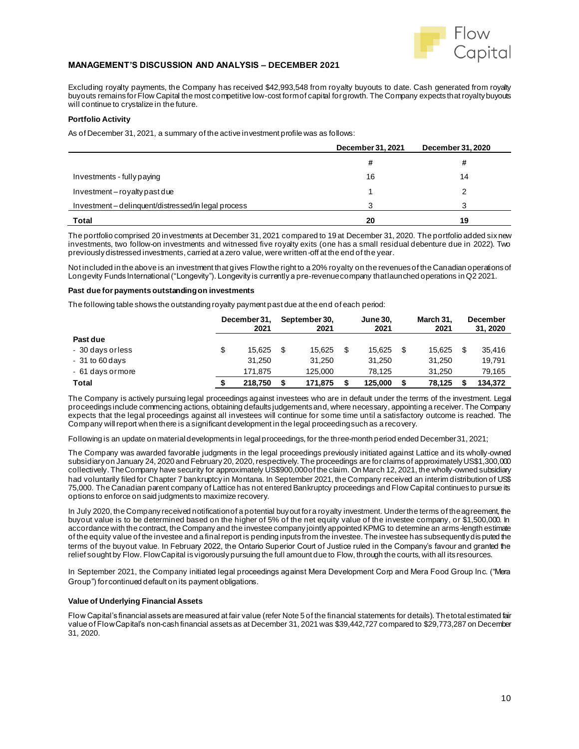

Excluding royalty payments, the Company has received \$42,993,548 from royalty buyouts to date. Cash generated from royalty buyouts remains for Flow Capital the most competitive low-cost form of capital for growth. The Company expects that royalty buyouts will continue to crystalize in the future.

#### **Portfolio Activity**

As of December 31, 2021, a summary of the active investment profile was as follows:

|                                                   | December 31, 2021 | December 31, 2020 |
|---------------------------------------------------|-------------------|-------------------|
|                                                   | #                 | #                 |
| Investments - fully paying                        | 16                | 14                |
| Investment-royalty past due                       |                   |                   |
| Investment-delinquent/distressed/in legal process |                   | ว                 |
| Total                                             | 20                | 19                |

The portfolio comprised 20 investments at December 31, 2021 compared to 19 at December 31, 2020. The portfolio added sixnew investments, two follow-on investments and witnessed five royalty exits (one has a small residual debenture due in 2022). Two previously distressed investments, carried at a zero value, were written -off at the end of the year.

Not included in the above is an investment that gives Flow the right to a 20% royalty on the revenues of the Canadian operations of Longevity Funds International ("Longevity"). Longevity is currently a pre-revenue company that launched operations in Q2 2021.

### **Past due for payments outstanding on investments**

The following table shows the outstanding royalty payment past due at the end of each period:

|                   | December 31,<br>2021 | September 30,<br>2021 | <b>June 30.</b><br>2021 |   | March 31.<br>2021 | <b>December</b><br>31, 2020 |
|-------------------|----------------------|-----------------------|-------------------------|---|-------------------|-----------------------------|
| Past due          |                      |                       |                         |   |                   |                             |
| - 30 days or less | \$<br>15.625         | \$<br>15.625          | 15.625                  | S | 15.625            | 35,416                      |
| $-31$ to 60 days  | 31.250               | 31.250                | 31.250                  |   | 31.250            | 19.791                      |
| - 61 days or more | 171.875              | 125,000               | 78.125                  |   | 31.250            | 79,165                      |
| Total             | 218.750              | 171,875               | 125,000                 |   | 78.125            | 134,372                     |

The Company is actively pursuing legal proceedings against investees who are in default under the terms of the investment. Legal proceedings include commencing actions, obtaining defaults judgements and, where necessary, appointing a receiver. The Company expects that the legal proceedings against all investees will continue for some time until a satisfactory outcome is reached. The Company will report when there is a significant development in the legal proceeding such as a recovery.

Following is an update on material developments in legal proceedings, for the three-month period ended December 31, 2021;

The Company was awarded favorable judgments in the legal proceedings previously initiated against Lattice and its wholly-owned subsidiary on January 24, 2020 and February 20, 2020, respectively. The proceedings are for claims of approximately US\$1,300,000 collectively. The Company have security for approximately US\$900,000 of the claim. On March 12, 2021, the wholly-owned subsidiary had voluntarily filed for Chapter 7 bankruptcy in Montana. In September 2021, the Company received an interim distribution of US\$ 75,000. The Canadian parent company of Lattice has not entered Bankruptcy proceedings and Flow Capital continues to pursue its options to enforce on said judgments to maximize recovery.

In July 2020, the Company received notification of a potential buyout for a royalty investment. Under the terms of the agreement, the buyout value is to be determined based on the higher of 5% of the net equity value of the investee company, or \$1,500,000. In accordance with the contract, the Company and the investee company jointly appointed KPMG to determine an arms-length estimate of the equity value of the investee and a final report is pending inputs from the investee. The investee has subsequently dis puted the terms of the buyout value. In February 2022, the Ontario Superior Court of Justice ruled in the Company's favour and granted the relief sought by Flow. Flow Capital is vigorously pursuing the full amount due to Flow, through the courts, with all its resources.

In September 2021, the Company initiated legal proceedings against Mera Development Corp and Mera Food Group Inc. ("Mera Group") for continued default on its payment obligations.

## **Value of Underlying Financial Assets**

Flow Capital's financial assets are measured at fair value (refer Note 5 of the financial statements for details). The total estimated fair value of Flow Capital's non-cash financial assets as at December 31, 2021 was \$39,442,727 compared to \$29,773,287 on December 31, 2020.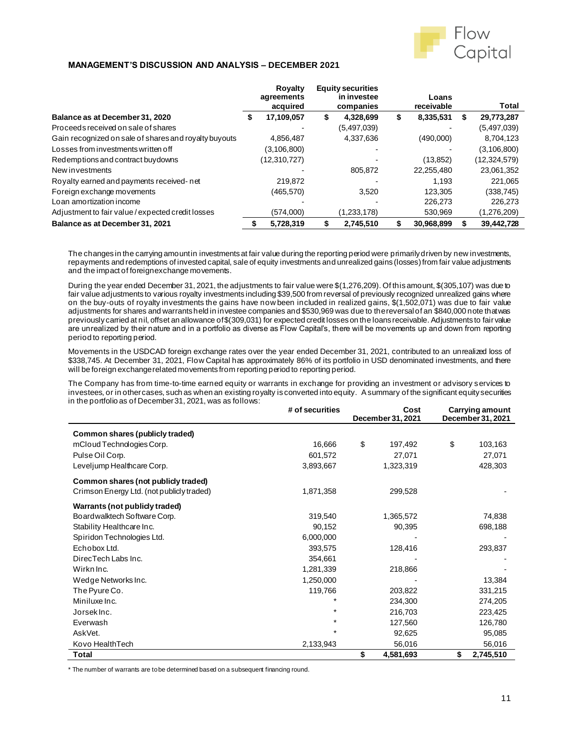

|                                                       |   | <b>Royalty</b><br>agreements<br>acquired | <b>Equity securities</b><br>in investee<br>companies |   | Loans<br>receivable |   | Total         |
|-------------------------------------------------------|---|------------------------------------------|------------------------------------------------------|---|---------------------|---|---------------|
| Balance as at December 31, 2020                       | S | 17,109,057                               | \$<br>4,328,699                                      | S | 8,335,531           | S | 29,773,287    |
| Proceeds received on sale of shares                   |   |                                          | (5,497,039)                                          |   |                     |   | (5,497,039)   |
| Gain recognized on sale of shares and royalty buyouts |   | 4.856.487                                | 4,337,636                                            |   | (490,000)           |   | 8,704,123     |
| Losses from investments written off                   |   | (3, 106, 800)                            |                                                      |   |                     |   | (3, 106, 800) |
| Redemptions and contract buydowns                     |   | (12,310,727)                             |                                                      |   | (13, 852)           |   | (12,324,579)  |
| New investments                                       |   |                                          | 805,872                                              |   | 22,255,480          |   | 23,061,352    |
| Royalty earned and payments received- net             |   | 219,872                                  |                                                      |   | 1.193               |   | 221,065       |
| Foreign exchange movements                            |   | (465, 570)                               | 3,520                                                |   | 123.305             |   | (338, 745)    |
| Loan amortization income                              |   |                                          |                                                      |   | 226,273             |   | 226,273       |
| Adjustment to fair value / expected credit losses     |   | (574,000)                                | (1,233,178)                                          |   | 530.969             |   | (1,276,209)   |
| Balance as at December 31, 2021                       |   | 5,728,319                                | 2.745.510                                            |   | 30,968,899          |   | 39.442.728    |

The changes in the carrying amountin investments at fair value during the reporting period were primarily driven by new investments, repayments and redemptions of invested capital, sale of equity investments and unrealized gains (losses) from fair value adjustments and the impact of foreign exchange movements.

During the year ended December 31, 2021, the adjustments to fair value were \$(1,276,209). Of this amount, \$(305,107) was due to fair value adjustments to various royalty investments including \$39,500 from reversal of previously recognized unrealized gains where on the buy-outs of royalty investments the gains have now been included in realized gains, \$(1,502,071) was due to fair value adjustments for shares and warrants held in investee companies and \$530,969 was due to the reversal of an \$840,000 note that was previously carried at nil, offset an allowance of \$(309,031) for expected credit losses on the loans receivable. Adjustments to fair value are unrealized by their nature and in a portfolio as diverse as Flow Capital's, there will be movements up and down from reporting period to reporting period.

Movements in the USDCAD foreign exchange rates over the year ended December 31, 2021, contributed to an unrealized loss of \$338.745. At December 31, 2021, Flow Capital has approximately 86% of its portfolio in USD denominated investments, and there will be foreign exchange related movements from reporting period to reporting period.

The Company has from time-to-time earned equity or warrants in exchange for providing an investment or advisory services to investees, or in other cases, such as when an existing royalty is converted into equity. A summary of the significant equity securities in the portfolio as of December 31, 2021, was as follows:

|                                           | # of securities | Cost<br>December 31, 2021 | <b>Carrying amount</b><br>December 31, 2021 |
|-------------------------------------------|-----------------|---------------------------|---------------------------------------------|
| Common shares (publicly traded)           |                 |                           |                                             |
| mCloud Technologies Corp.                 | 16,666          | \$<br>197,492             | \$<br>103,163                               |
| Pulse Oil Corp.                           | 601,572         | 27,071                    | 27,071                                      |
| Leveljump Healthcare Corp.                | 3,893,667       | 1,323,319                 | 428,303                                     |
| Common shares (not publicly traded)       |                 |                           |                                             |
| Crimson Energy Ltd. (not publicly traded) | 1,871,358       | 299,528                   |                                             |
| Warrants (not publicly traded)            |                 |                           |                                             |
| Boardwalktech Software Corp.              | 319,540         | 1,365,572                 | 74,838                                      |
| Stability Healthcare Inc.                 | 90,152          | 90,395                    | 698,188                                     |
| Spiridon Technologies Ltd.                | 6,000,000       |                           |                                             |
| Echobox Ltd.                              | 393,575         | 128,416                   | 293,837                                     |
| DirecTech Labs Inc.                       | 354,661         |                           |                                             |
| Wirkn Inc.                                | 1,281,339       | 218,866                   |                                             |
| Wedge Networks Inc.                       | 1,250,000       |                           | 13,384                                      |
| The Pyure Co.                             | 119,766         | 203,822                   | 331,215                                     |
| Miniluxe Inc.                             |                 | 234,300                   | 274,205                                     |
| Jorsek Inc.                               |                 | 216,703                   | 223,425                                     |
| Everwash                                  | $\ast$          | 127,560                   | 126,780                                     |
| AskVet.                                   |                 | 92,625                    | 95,085                                      |
| Kovo HealthTech                           | 2,133,943       | 56,016                    | 56,016                                      |
| Total                                     |                 | \$<br>4,581,693           | \$<br>2,745,510                             |

\* The number of warrants are to be determined based on a subsequent financing round.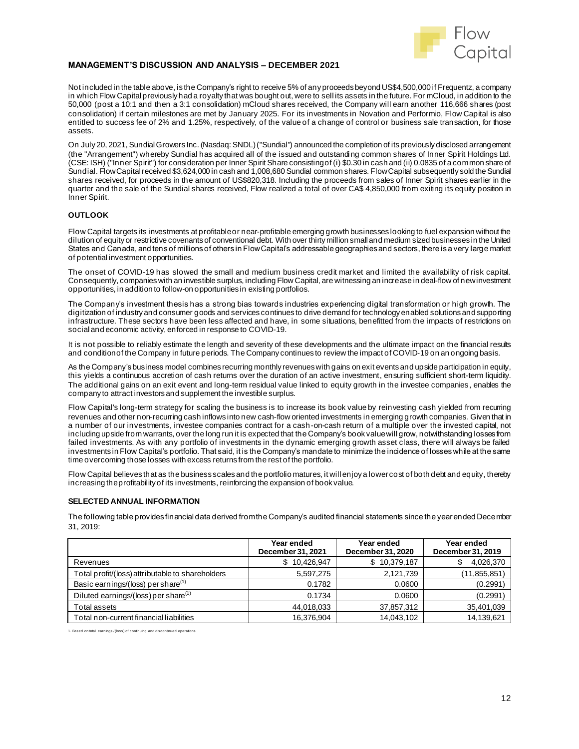

Not included in the table above, is the Company's right to receive 5% of anyproceeds beyond US\$4,500,000 if Frequentz, a company in which Flow Capital previously had a royalty that was bought out, were to sell its assets in the future. For mCloud, in addition to the 50,000 (post a 10:1 and then a 3:1 consolidation) mCloud shares received, the Company will earn another 116,666 shares (post consolidation) if certain milestones are met by January 2025. For its investments in Novation and Performio, Flow Capital is also entitled to success fee of 2% and 1.25%, respectively, of the value of a change of control or business sale transaction, for those assets.

On July 20, 2021, Sundial Growers Inc. (Nasdaq: SNDL) ("Sundial") announced the completion of its previously disclosed arrangement (the "Arrangement") whereby Sundial has acquired all of the issued and outstanding common shares of Inner Spirit Holdings Ltd. (CSE: ISH) ("Inner Spirit") for consideration per Inner Spirit Share consisting of (i) \$0.30 in cash and (ii) 0.0835 of a common share of Sundial. Flow Capital received \$3,624,000 in cash and 1,008,680 Sundial common shares. Flow Capital subsequently sold the Sundial shares received, for proceeds in the amount of US\$820,318. Including the proceeds from sales of Inner Spirit shares earlier in the quarter and the sale of the Sundial shares received, Flow realized a total of over CA\$ 4,850,000 from exiting its equity position in Inner Spirit.

# <span id="page-12-0"></span>**OUTLOOK**

Flow Capital targets its investments at profitable or near-profitable emerging growth businesses looking to fuel expansion without the dilution of equity or restrictive covenants of conventional debt. With over thirty million small and medium sized businesses in the United States and Canada, and tens of millions of others in Flow Capital's addressable geographies and sectors, there is a very large market of potential investment opportunities.

The onset of COVID-19 has slowed the small and medium business credit market and limited the availability of risk capital. Consequently, companies with an investible surplus, including Flow Capital, are witnessing an increase in deal-flow of new investment opportunities, in addition to follow-on opportunities in existing portfolios.

The Company's investment thesis has a strong bias towards industries experiencing digital transformation or high growth. The digitization of industry and consumer goods and services continues to drive demand for technology enabled solutions and supporting infrastructure. These sectors have been less affected and have, in some situations, benefitted from the impacts of restrictions on social and economic activity, enforced in response to COVID-19.

It is not possible to reliably estimate the length and severity of these developments and the ultimate impact on the financial results and condition of the Company in future periods. The Company continues to review the impact of COVID-19 on an ongoing basis.

As the Company's business model combines recurring monthly revenues with gains on exit events and upside participation in equity, this yields a continuous accretion of cash returns over the duration of an active investment, ensuring sufficient short-term liquidity. The additional gains on an exit event and long-term residual value linked to equity growth in the investee companies, enables the company to attract investors and supplement the investible surplus.

Flow Capital's long-term strategy for scaling the business is to increase its book value by reinvesting cash yielded from recurring revenues and other non-recurring cash inflows into new cash-flow oriented investments in emerging growth companies. Given that in a number of our investments, investee companies contract for a cash-on-cash return of a multiple over the invested capital, not including upside from warrants, over the long run it is expected that the Company's book value will grow, notwithstanding losses from failed investments. As with any portfolio of investments in the dynamic emerging growth asset class, there will always be failed investments in Flow Capital's portfolio. That said, it is the Company's mandate to minimize the incidence of losses while at the same time overcoming those losses with excess returns from the rest of the portfolio.

Flow Capital believes that as the business scales and the portfolio matures, it will enjoy a lower cost of both debt and equity, thereby increasing the profitability of its investments, reinforcing the expansion of book value.

## <span id="page-12-1"></span>**SELECTED ANNUAL INFORMATION**

The following table provides financial data derived from the Company's audited financial statements since the year ended December 31, 2019:

|                                                  | Year ended<br>December 31, 2021 | Year ended<br>December 31, 2020 | Year ended<br>December 31, 2019 |
|--------------------------------------------------|---------------------------------|---------------------------------|---------------------------------|
| Revenues                                         | \$10,426,947                    | 10,379,187<br>S.                | 4,026,370                       |
| Total profit/(loss) attributable to shareholders | 5,597,275                       | 2,121,739                       | (11, 855, 851)                  |
| Basic earnings/(loss) per share <sup>(1)</sup>   | 0.1782                          | 0.0600                          | (0.2991)                        |
| Diluted earnings/(loss) per share <sup>(1)</sup> | 0.1734                          | 0.0600                          | (0.2991)                        |
| Total assets                                     | 44,018,033                      | 37,857,312                      | 35,401,039                      |
| Total non-current financial liabilities          | 16,376,904                      | 14,043,102                      | 14,139,621                      |

1. Based on total earnings / (loss) of continuing and discontinued operations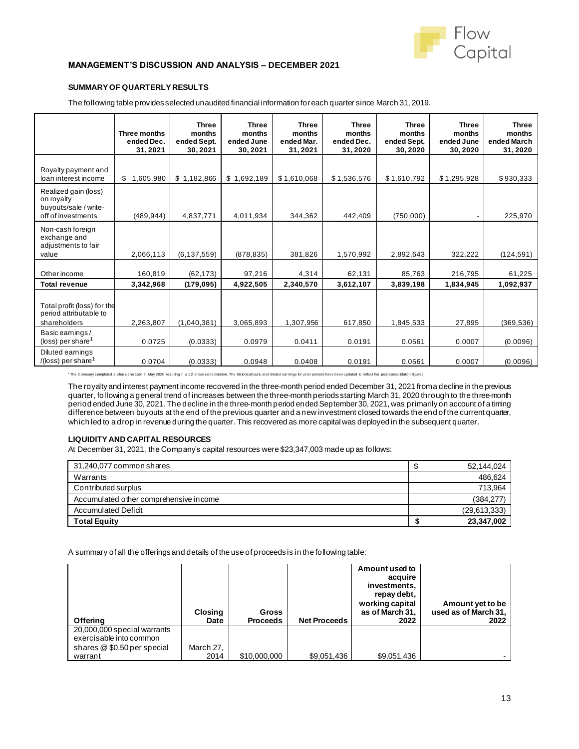

# <span id="page-13-0"></span>**SUMMARY OF QUARTERLY RESULTS**

The following table provides selected unaudited financial information for each quarter since March 31, 2019.

|                                                                                   | Three months<br>ended Dec.<br>31,2021 | <b>Three</b><br>months<br>ended Sept.<br>30,2021 | <b>Three</b><br>months<br>ended June<br>30, 2021 | <b>Three</b><br>months<br>ended Mar.<br>31, 2021 | <b>Three</b><br>months<br>ended Dec.<br>31,2020 | <b>Three</b><br>months<br>ended Sept.<br>30, 2020 | <b>Three</b><br>months<br>ended June<br>30,2020 | <b>Three</b><br>months<br>ended March<br>31, 2020 |
|-----------------------------------------------------------------------------------|---------------------------------------|--------------------------------------------------|--------------------------------------------------|--------------------------------------------------|-------------------------------------------------|---------------------------------------------------|-------------------------------------------------|---------------------------------------------------|
| Royalty payment and<br>loan interest income                                       | \$<br>1,605,980                       | \$1,182,866                                      | \$1,692,189                                      | \$1,610,068                                      | \$1,536,576                                     | \$1,610,792                                       | \$1,295,928                                     | \$930,333                                         |
| Realized gain (loss)<br>on royalty<br>buyouts/sale / write-<br>off of investments | (489, 944)                            | 4,837,771                                        | 4,011,934                                        | 344,362                                          | 442,409                                         | (750,000)                                         |                                                 | 225,970                                           |
| Non-cash foreign<br>exchange and<br>adjustments to fair<br>value                  | 2.066.113                             | (6, 137, 559)                                    | (878, 835)                                       | 381.826                                          | 1,570,992                                       | 2,892,643                                         | 322,222                                         | (124, 591)                                        |
| Other income                                                                      | 160,819                               | (62.173)                                         | 97,216                                           | 4,314                                            | 62,131                                          | 85.763                                            | 216,795                                         | 61,225                                            |
| <b>Total revenue</b>                                                              | 3,342,968                             | (179.095)                                        | 4.922,505                                        | 2,340,570                                        | 3,612,107                                       | 3,839,198                                         | 1,834,945                                       | 1,092,937                                         |
| Total profit (loss) for the<br>period attributable to<br>shareholders             | 2,263,807                             | (1,040,381)                                      | 3,065,893                                        | 1,307,956                                        | 617,850                                         | 1,845,533                                         | 27,895                                          | (369, 536)                                        |
| Basic earnings /<br>(loss) per share <sup>1</sup>                                 | 0.0725                                | (0.0333)                                         | 0.0979                                           | 0.0411                                           | 0.0191                                          | 0.0561                                            | 0.0007                                          | (0.0096)                                          |
| Diluted earnings<br>/(loss) per share <sup>1</sup>                                | 0.0704                                | (0.0333)                                         | 0.0948                                           | 0.0408                                           | 0.0191                                          | 0.0561                                            | 0.0007                                          | (0.0096)                                          |

<sup>1</sup> The Company completed a share alteration in May 2020 resulting in a 1:2 share consolidation. The historical basic and diluted earnings for prior periods have been updated to reflect the post consolidation figures.

The royalty and interest payment income recovered in the three-month period ended December 31, 2021 from a decline in the previous quarter, following a general trend of increases between the three-month periods starting March 31, 2020 through to the three-month period ended June 30, 2021. The decline in the three-month period ended September 30, 2021, was primarily on account of a timing difference between buyouts at the end of the previous quarter and a new investment closed towards the end of the current quarter, which led to a drop in revenue during the quarter. This recovered as more capital was deployed in the subsequent quarter.

## <span id="page-13-1"></span>**LIQUIDITY AND CAPITAL RESOURCES**

At December 31, 2021, the Company's capital resources were \$23,347,003 made up as follows:

| 31,240,077 common shares               | 52,144,024   |
|----------------------------------------|--------------|
| Warrants                               | 486.624      |
| Contributed surplus                    | 713.964      |
| Accumulated other comprehensive income | (384, 277)   |
| <b>Accumulated Deficit</b>             | (29,613,333) |
| <b>Total Equity</b>                    | 23,347,002   |

A summary of all the offerings and details of the use of proceeds is in the following table:

| <b>Offering</b>                                                                                  | <b>Closing</b><br>Date | <b>Gross</b><br><b>Proceeds</b> | <b>Net Proceeds</b> | Amount used to<br>acquire<br>investments,<br>repay debt,<br>working capital<br>as of March 31,<br>2022 | Amount yet to be<br>used as of March 31,<br>2022 |
|--------------------------------------------------------------------------------------------------|------------------------|---------------------------------|---------------------|--------------------------------------------------------------------------------------------------------|--------------------------------------------------|
| 20,000,000 special warrants<br>exercisable into common<br>shares @ \$0.50 per special<br>warrant | March 27,<br>2014      | \$10,000,000                    | \$9,051,436         | \$9,051,436                                                                                            |                                                  |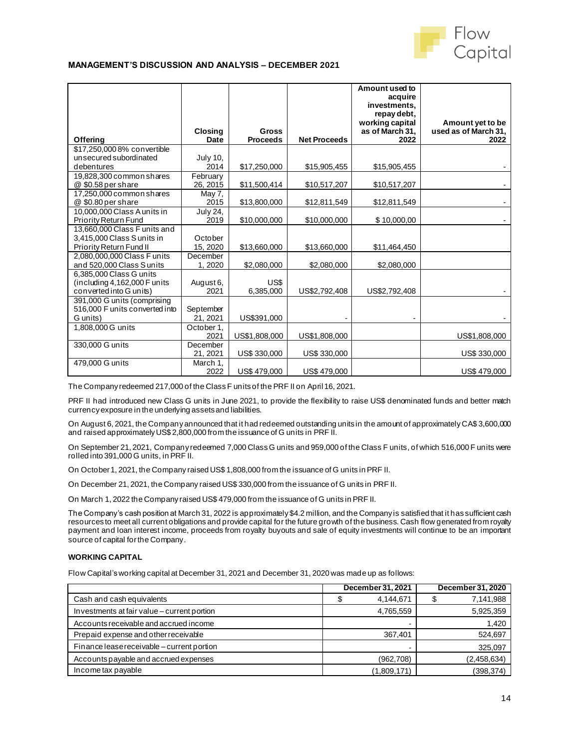

|                                                      |                               |                                 |                     | Amount used to<br>acquire<br>investments,<br>repay debt,<br>working capital | Amount yet to be             |
|------------------------------------------------------|-------------------------------|---------------------------------|---------------------|-----------------------------------------------------------------------------|------------------------------|
| Offering                                             | <b>Closing</b><br><b>Date</b> | <b>Gross</b><br><b>Proceeds</b> | <b>Net Proceeds</b> | as of March 31,<br>2022                                                     | used as of March 31,<br>2022 |
| \$17,250,000 8% convertible                          |                               |                                 |                     |                                                                             |                              |
| unsecured subordinated                               | <b>July 10.</b>               |                                 |                     |                                                                             |                              |
| debentures                                           | 2014                          | \$17,250,000                    | \$15,905,455        | \$15,905,455                                                                |                              |
| 19,828,300 common shares                             | February                      |                                 |                     |                                                                             |                              |
| @ \$0.58 per share                                   | 26, 2015                      | \$11,500,414                    | \$10,517,207        | \$10,517,207                                                                |                              |
| 17,250,000 common shares                             | May 7,                        |                                 |                     |                                                                             |                              |
| @ \$0.80 per share                                   | 2015                          | \$13,800,000                    | \$12,811,549        | \$12,811,549                                                                |                              |
| 10,000,000 Class A units in                          | July 24,<br>2019              | \$10,000,000                    | \$10,000,000        |                                                                             | $\overline{\phantom{0}}$     |
| Priority Return Fund<br>13,660,000 Class F units and |                               |                                 |                     | \$10,000,00                                                                 |                              |
| 3,415,000 Class Sunits in                            | October                       |                                 |                     |                                                                             |                              |
| Priority Return Fund II                              | 15.2020                       | \$13,660,000                    | \$13,660,000        | \$11,464,450                                                                |                              |
| 2.080.000.000 Class F units                          | December                      |                                 |                     |                                                                             |                              |
| and 520,000 Class Sunits                             | 1, 2020                       | \$2,080,000                     | \$2,080,000         | \$2,080,000                                                                 |                              |
| 6,385,000 Class G units                              |                               |                                 |                     |                                                                             |                              |
| (including 4,162,000 F units                         | August 6,                     | US\$                            |                     |                                                                             |                              |
| converted into G units)                              | 2021                          | 6,385,000                       | US\$2,792,408       | US\$2,792,408                                                               |                              |
| 391,000 G units (comprising                          |                               |                                 |                     |                                                                             |                              |
| 516,000 F units converted into                       | September                     |                                 |                     |                                                                             |                              |
| G units)                                             | 21.2021                       | US\$391,000                     |                     |                                                                             |                              |
| 1,808,000 G units                                    | October 1,<br>2021            | US\$1,808,000                   | US\$1,808,000       |                                                                             | US\$1,808,000                |
| 330,000 G units                                      | December                      |                                 |                     |                                                                             |                              |
|                                                      | 21, 2021                      | US\$ 330,000                    | US\$ 330,000        |                                                                             | US\$ 330,000                 |
| 479,000 G units                                      | March 1,                      |                                 |                     |                                                                             |                              |
|                                                      | 2022                          | <b>US\$ 479,000</b>             | US\$479,000         |                                                                             | <b>US\$ 479,000</b>          |

The Company redeemed 217,000 of the Class F units of the PRF II on April 16, 2021.

PRF II had introduced new Class G units in June 2021, to provide the flexibility to raise US\$ denominated funds and better match currency exposure in the underlying assets and liabilities.

On August 6, 2021, the Company announced that it had redeemed outstanding units in the amount of approximately CA\$ 3,600,000 and raised approximately US\$ 2,800,000 from the issuance of G units in PRF II.

On September 21, 2021, Company redeemed 7,000 Class G units and 959,000 of the Class F units, of which 516,000 F units were rolled into 391,000 G units, in PRF II.

On October 1, 2021, the Company raised US\$ 1,808,000 from the issuance of G units in PRF II.

On December 21, 2021, the Company raised US\$ 330,000 from the issuance of G units in PRF II.

On March 1, 2022 the Company raised US\$ 479,000 from the issuance of G units in PRF II.

The Company's cash position at March 31, 2022 is approximately \$4.2 million, and the Company is satisfied that it has sufficient cash resources to meet all current obligations and provide capital for the future growth of the business. Cash flow generated from royalty payment and loan interest income, proceeds from royalty buyouts and sale of equity investments will continue to be an important source of capital for the Company.

## <span id="page-14-0"></span>**WORKING CAPITAL**

Flow Capital'sworking capital at December 31, 2021 and December 31, 2020 was made up as follows:

|                                             | December 31, 2021 | December 31, 2020 |
|---------------------------------------------|-------------------|-------------------|
| Cash and cash equivalents                   | 4,144,671         | 7,141,988         |
| Investments at fair value - current portion | 4,765,559         | 5,925,359         |
| Accounts receivable and accrued income      |                   | 1,420             |
| Prepaid expense and other receivable        | 367,401           | 524,697           |
| Finance lease receivable - current portion  |                   | 325,097           |
| Accounts payable and accrued expenses       | (962,708)         | (2,458,634)       |
| Income tax payable                          | (1,809,171)       | (398, 374)        |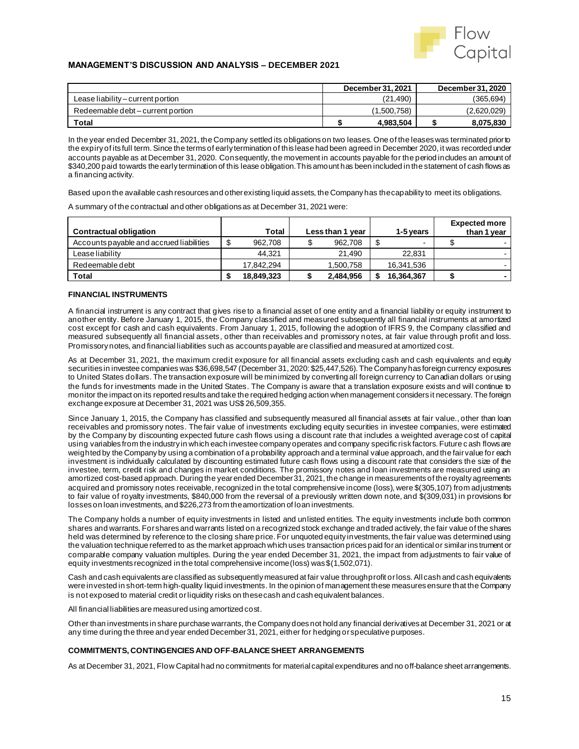

|                                   | December 31, 2021 | December 31, 2020 |
|-----------------------------------|-------------------|-------------------|
| Lease liability – current portion | (21.490)          | (365.694)         |
| Redeemable debt – current portion | (1.500.758)       | (2,620,029)       |
| Total                             | 4.983.504         | 8.075.830         |

In the year ended December 31, 2021, the Company settled its obligations on two leases. One of the leases was terminated prior to the expiry of its full term. Since the terms of early termination of this lease had been agreed in December 2020, it was recorded under accounts payable as at December 31, 2020. Consequently, the movement in accounts payable for the period includes an amount of \$340,200 paid towards the early termination of this lease obligation. This amount has been included in the statement of cash flows as a financing activity.

Based upon the available cash resources and other existing liquid assets, the Company has the capability to meet its obligations.

A summary of the contractual and other obligations as at December 31, 2021 were:

| <b>Contractual obligation</b>            |  | Total      | Less than 1 vear |   | 1-5 years  | <b>Expected more</b><br>than 1 year |
|------------------------------------------|--|------------|------------------|---|------------|-------------------------------------|
| Accounts payable and accrued liabilities |  | 962.708    | 962.708          | J |            |                                     |
| Lease liability                          |  | 44.321     | 21.490           |   | 22.831     |                                     |
| Redeemable debt                          |  | 17.842.294 | 1.500.758        |   | 16,341,536 |                                     |
| <b>Total</b>                             |  | 18,849,323 | 2,484,956        |   | 16.364.367 |                                     |

## <span id="page-15-0"></span>**FINANCIAL INSTRUMENTS**

A financial instrument is any contract that gives rise to a financial asset of one entity and a financial liability or equity instrument to another entity. Before January 1, 2015, the Company classified and measured subsequently all financial instruments at amortized cost except for cash and cash equivalents. From January 1, 2015, following the adoption of IFRS 9, the Company classified and measured subsequently all financial assets, other than receivables and promissory notes, at fair value through profit and loss. Promissory notes, and financial liabilities such as accounts payable are classified and measured at amortized cost.

As at December 31, 2021, the maximum credit exposure for all financial assets excluding cash and cash equivalents and equity securities in investee companies was \$36,698,547 (December 31, 2020: \$25,447,526). The Company has foreign currency exposures to United States dollars. The transaction exposure will be minimized by converting all foreign currency to Canadian dollars or using the funds for investments made in the United States. The Company is aware that a translation exposure exists and will continue to monitor the impact on its reported results and take the required hedging action when management considers it necessary. The foreign exchange exposure at December 31, 2021 was US\$ 26,509,355.

Since January 1, 2015, the Company has classified and subsequently measured all financial assets at fair value., other than loan receivables and promissory notes. The fair value of investments excluding equity securities in investee companies, were estimated by the Company by discounting expected future cash flows using a discount rate that includes a weighted average cost of capital using variables from the industry in which each investee company operates and company specific risk factors. Future c ash flows are weighted by the Company by using a combination of a probability approach and a terminal value approach, and the fair value for each investment is individually calculated by discounting estimated future cash flows using a discount rate that considers the size of the investee, term, credit risk and changes in market conditions. The promissory notes and loan investments are measured using an amortized cost-based approach. During the yearended December 31, 2021, the change in measurementsof the royalty agreements acquired and promissory notes receivable, recognized in the total comprehensive income (loss), were \$(305,107) from adjustments to fair value of royalty investments, \$840,000 from the reversal of a previously written down note, and \$(309,031) in provisions for losses on loan investments, and \$226,273 from the amortization of loan investments.

The Company holds a number of equity investments in listed and unlisted entities. The equity investments include both common shares and warrants. For shares and warrants listed on a recognized stock exchange and traded actively, the fair value of the shares held was determined by reference to the closing share price. For unquoted equity investments, the fair value was determined using the valuation technique referred to as the market approach which uses transaction prices paid for an identical or similar ins trument or comparable company valuation multiples. During the year ended December 31, 2021, the impact from adjustments to fair value of equity investments recognized in the total comprehensive income (loss) was \$(1,502,071).

Cash and cash equivalents are classified as subsequently measured at fair value through profit or loss. All cash and cash equivalents were invested in short-term high-quality liquid investments. In the opinion of management these measures ensure that the Company is not exposed to material credit or liquidity risks on these cash and cash equivalent balances.

All financial liabilities are measured using amortized cost.

Other than investments in share purchase warrants, the Company does not hold any financial derivatives at December 31, 2021 or at any time during the three and year ended December 31, 2021, either for hedging or speculative purposes.

#### <span id="page-15-1"></span>**COMMITMENTS, CONTINGENCIES AND OFF-BALANCE SHEET ARRANGEMENTS**

As at December 31, 2021, Flow Capital had no commitments for material capital expenditures and no off-balance sheet arrangements.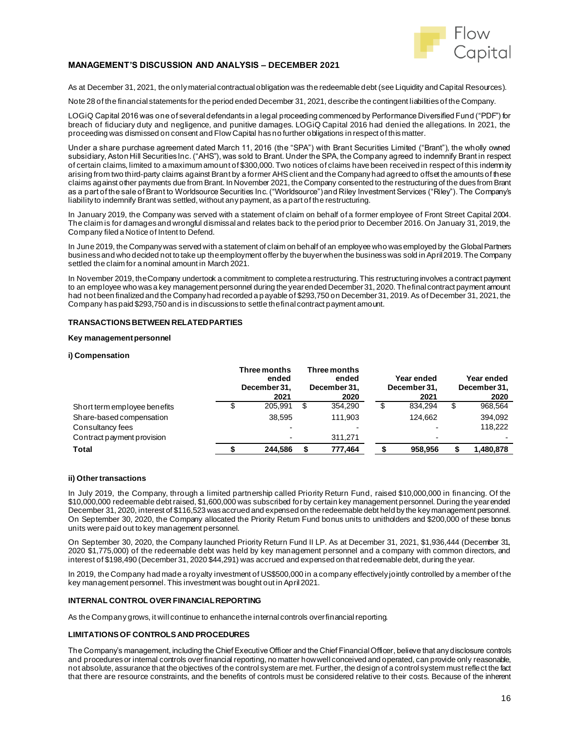

As at December 31, 2021, the only material contractual obligation was the redeemable debt (see Liquidity and Capital Resources).

Note 28 of the financial statements for the period ended December 31, 2021, describe the contingent liabilities of the Company.

LOGiQ Capital 2016 was one of several defendants in a legal proceeding commenced by Performance Diversified Fund ("PDF") for breach of fiduciary duty and negligence, and punitive damages. LOGiQ Capital 2016 had denied the allegations. In 2021, the proceeding was dismissed on consent and Flow Capital has no further obligations in respect of this matter.

Under a share purchase agreement dated March 11, 2016 (the "SPA") with Brant Securities Limited ("Brant"), the wholly owned subsidiary, Aston Hill Securities Inc. ("AHS"), was sold to Brant. Under the SPA, the Company agreed to indemnify Brant in respect of certain claims, limited to a maximum amount of \$300,000. Two notices of claims have been received in respect of this indemnity arising from two third-party claims against Brant by a former AHS client and the Company had agreed to offset the amounts of these claims against other payments due from Brant. In November 2021, the Company consented to the restructuring of the dues from Brant as a part of the sale of Brant to Worldsource Securities Inc. ("Worldsource") and Riley Investment Services ("Riley"). The Company's liability to indemnify Brant was settled, without any payment, as a part of the restructuring.

In January 2019, the Company was served with a statement of claim on behalf of a former employee of Front Street Capital 2004. The claim is for damages and wrongful dismissal and relates back to the period prior to December 2016. On January 31, 2019, the Company filed a Notice of Intent to Defend.

In June 2019, the Company was served with a statement of claim on behalf of an employee who was employed by the Global Partners business and who decided not to take up the employment offer by the buyer when the business was sold in April 2019. The Company settled the claim for a nominal amount in March 2021.

In November 2019, the Company undertook a commitment to complete a restructuring. This restructuring involves a contract payment to an employee who was a key management personnel during the year ended December 31, 2020. The final contract payment amount had not been finalized and the Company had recorded a payable of \$293,750 on December 31, 2019. As of December 31, 2021, the Company has paid \$293,750 and is in discussions to settle the final contract payment amount.

#### <span id="page-16-0"></span>**TRANSACTIONS BETWEEN RELATED PARTIES**

#### **Key management personnel**

#### **i) Compensation**

|                              | Three months<br>ended<br>December 31.<br>2021 |   | Three months<br>ended<br>December 31.<br>2020 |    | Year ended<br>December 31,<br>2021 |   | Year ended<br>December 31,<br>2020 |  |
|------------------------------|-----------------------------------------------|---|-----------------------------------------------|----|------------------------------------|---|------------------------------------|--|
| Short term employee benefits | 205.991                                       | S | 354.290                                       | \$ | 834.294                            | S | 968,564                            |  |
| Share-based compensation     | 38.595                                        |   | 111.903                                       |    | 124.662                            |   | 394,092                            |  |
| Consultancy fees             |                                               |   | $\blacksquare$                                |    | $\overline{\phantom{a}}$           |   | 118,222                            |  |
| Contract payment provision   | $\overline{\phantom{0}}$                      |   | 311.271                                       |    | $\blacksquare$                     |   | $\overline{\phantom{0}}$           |  |
| Total                        | 244.586                                       |   | 777,464                                       |    | 958.956                            |   | 1,480,878                          |  |

#### **ii) Other transactions**

In July 2019, the Company, through a limited partnership called Priority Return Fund, raised \$10,000,000 in financing. Of the \$10,000,000 redeemable debt raised, \$1,600,000 was subscribed for by certain key management personnel. During the year ended December 31, 2020, interest of \$116,523 was accrued and expensed on the redeemable debt held by the key management personnel. On September 30, 2020, the Company allocated the Priority Return Fund bonus units to unitholders and \$200,000 of these bonus units were paid out to key management personnel.

On September 30, 2020, the Company launched Priority Return Fund II LP. As at December 31, 2021, \$1,936,444 (December 31, 2020 \$1,775,000) of the redeemable debt was held by key management personnel and a company with common directors, and interest of \$198,490 (December 31, 2020 \$44,291) was accrued and expensed on that redeemable debt, during the year.

In 2019, the Company had made a royalty investment of US\$500,000 in a company effectively jointly controlled by a member of the key management personnel. This investment was bought out in April 2021.

#### <span id="page-16-1"></span>**INTERNAL CONTROL OVER FINANCIAL REPORTING**

<span id="page-16-2"></span>As the Company grows, it will continue to enhance the internal controls over financial reporting.

#### **LIMITATIONS OF CONTROLS AND PROCEDURES**

The Company's management, including the Chief Executive Officer and the Chief Financial Officer, believe that any disclosure controls and procedures or internal controls over financial reporting, no matter how well conceived and operated, can provide only reasonable, not absolute, assurance that the objectives of the control system are met. Further, the design of a control system must reflect the fact that there are resource constraints, and the benefits of controls must be considered relative to their costs. Because of the inherent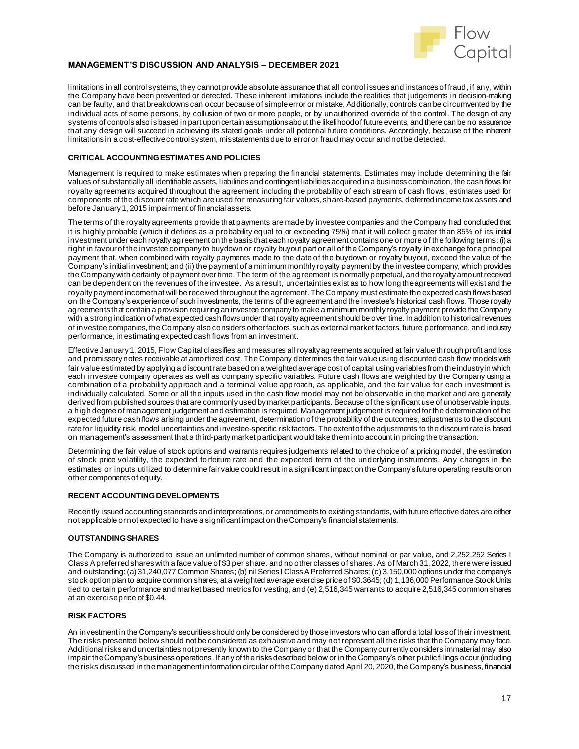

limitations in all control systems, they cannot provide absolute assurance that all control issues and instances of fraud, if any, within the Company have been prevented or detected. These inherent limitations include the realities that judgements in decision-making can be faulty, and that breakdowns can occur because of simple error or mistake. Additionally, controls can be circumvented by the individual acts of some persons, by collusion of two or more people, or by unauthorized override of the control. The design of any systems of controls also is based in part upon certain assumptions about the likelihood of future events, and there can be no assurance that any design will succeed in achieving its stated goals under all potential future conditions. Accordingly, because of the inherent limitations in a cost-effectivecontrol system, misstatements due to error or fraud may occur and not be detected.

## <span id="page-17-0"></span>**CRITICAL ACCOUNTING ESTIMATES AND POLICIES**

Management is required to make estimates when preparing the financial statements. Estimates may include determining the fair values of substantially all identifiable assets, liabilities and contingent liabilities acquired in a business combination, the cash flows for royalty agreements acquired throughout the agreement including the probability of each stream of cash flows, estimates used for components of the discount rate which are used for measuring fair values, share-based payments, deferred income tax assets and before January 1, 2015 impairment of financial assets.

The terms of the royalty agreements provide that payments are made by investee companies and the Company had concluded that it is highly probable (which it defines as a probability equal to or exceeding 75%) that it will collect greater than 85% of its initial investment under each royalty agreement on the basis that each royalty agreement contains one or more o f the following terms: (i) a right in favour of the investee company to buydown or royalty buyout part or all of the Company's royalty in exchange for a principal payment that, when combined with royalty payments made to the date of the buydown or royalty buyout, exceed the value of the Company's initial investment; and (ii) the payment of a minimum monthly royalty payment by the investee company, which provides the Company with certainty of payment over time. The term of the agreement is normally perpetual, and the royalty amount received can be dependent on the revenues of the investee. As a result, uncertainties exist as to how long theagreements will exist and the royalty payment income that will be received throughout the agreement. The Company must estimate the expected cash flows based on the Company's experience of such investments, the terms of the agreement and the investee's historical cash flows. Those royalty agreements that contain a provision requiring an investee company to make a minimum monthly royalty payment provide the Company with a strong indication of what expected cash flows under that royalty agreement should be over time. In addition to historical revenues of investee companies, the Company also considers other factors, such as external market factors, future performance, and industry performance, in estimating expected cash flows from an investment.

Effective January 1, 2015, Flow Capital classifies and measures all royalty agreements acquired at fair value through profit and loss and promissory notes receivable at amortized cost. The Company determines the fair value using discounted cash flow models with fair value estimated by applying a discount rate based on a weighted average cost of capital using variables from the industry in which each investee company operates as well as company specific variables. Future cash flows are weighted by the Company using a combination of a probability approach and a terminal value approach, as applicable, and the fair value for each investment is individually calculated. Some or all the inputs used in the cash flow model may not be observable in the market and are generally derived from published sources that are commonly used by market participants. Because of the significant use of unobservable inputs, a high degree of management judgement and estimation is required. Management judgement is required for the determination of the expected future cash flows arising under the agreement, determination of the probability of the outcomes, adjustments to the discount rate for liquidity risk, model uncertainties and investee-specific risk factors. The extent of the adjustments to the discount rate is based on management's assessment that a third-party market participant would take them into account in pricing the transaction.

Determining the fair value of stock options and warrants requires judgements related to the choice of a pricing model, the estimation of stock price volatility, the expected forfeiture rate and the expected term of the underlying instruments. Any changes in the estimates or inputs utilized to determine fair value could result in a significant impact on the Company's future operating results oron other components of equity.

# <span id="page-17-1"></span>**RECENT ACCOUNTING DEVELOPMENTS**

Recently issued accounting standards and interpretations, or amendments to existing standards, with future effective dates are either not applicable or not expected to have a significant impact on the Company's financial statements.

## <span id="page-17-2"></span>**OUTSTANDING SHARES**

The Company is authorized to issue an unlimited number of common shares, without nominal or par value, and 2,252,252 Series I Class A preferred shares with a face value of \$3 per share. and no other classes of shares. As of March 31, 2022, there were issued and outstanding: (a)31,240,077 Common Shares; (b) nil Series I Class A Preferred Shares; (c) 3,150,000 options under the company's stock option plan to acquire common shares, at a weighted average exercise price of \$0.3645; (d) 1,136,000 Performance Stock Units tied to certain performance and market based metrics for vesting, and (e) 2,516,345 warrants to acquire 2,516,345 common shares at an exercise price of \$0.44.

## <span id="page-17-3"></span>**RISK FACTORS**

An investment in the Company's securities should only be considered by those investors who can afford a total loss of their i nvestment. The risks presented below should not be considered as exhaustive and may not represent all the risks that the Company may face. Additional risks and uncertainties not presently known to the Company or that the Company currently considers immaterial may also impair the Company's business operations. If any of the risks described below or in the Company's other public filings occur (including the risks discussed in the management information circular of the Company dated April 20, 2020, the Company's business, financial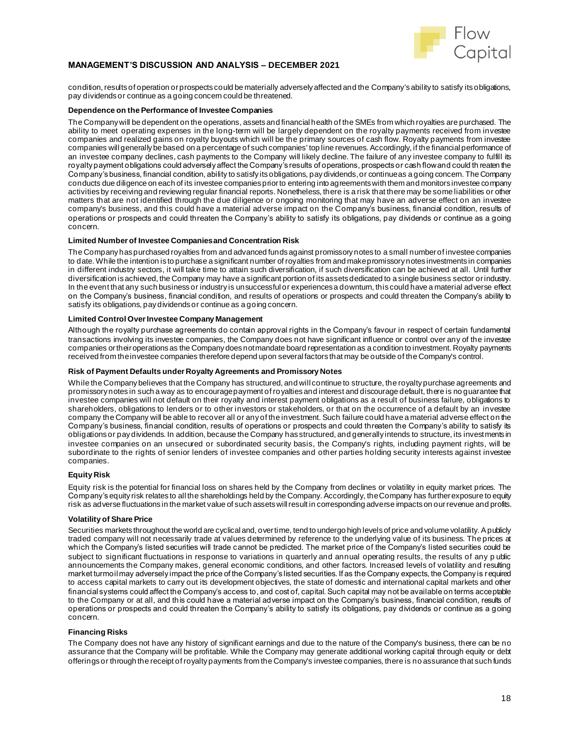

condition, results of operation or prospects could be materially adversely affected and the Company's ability to satisfy its obligations, pay dividends or continue as a going concern could be threatened.

#### **Dependence on the Performance of Investee Companies**

The Company will be dependent on the operations, assets and financial health of the SMEs from which royalties are purchased. The ability to meet operating expenses in the long-term will be largely dependent on the royalty payments received from investee companies and realized gains on royalty buyouts which will be the primary sources of cash flow. Royalty payments from investee companies will generally be based on a percentage of such companies' top line revenues. Accordingly, if the financial performance of an investee company declines, cash payments to the Company will likely decline. The failure of any investee company to fulfill its royalty payment obligations could adversely affect the Company's results of operations, prospects or cash flow and could th reaten the Company's business, financial condition, ability to satisfy its obligations, pay dividends, or continue as a going concern. The Company conducts due diligence on each of its investee companies prior to entering into agreements with them and monitors investee company activities by receiving and reviewing regular financial reports. Nonetheless, there is a risk that there may be some liabilities or other matters that are not identified through the due diligence or ongoing monitoring that may have an adverse effect on an investee company's business, and this could have a material adverse impact on the Company's business, financial condition, results of operations or prospects and could threaten the Company's ability to satisfy its obligations, pay dividends or continue as a going concern.

### **Limited Number of Investee Companies and Concentration Risk**

The Company has purchased royalties from and advanced funds against promissory notes to a small number of investee companies to date. While the intention is to purchase a significant number of royalties from and make promissory notes investments in companies in different industry sectors, it will take time to attain such diversification, if such diversification can be achieved at all. Until further diversification is achieved, the Company may have a significant portion of its assets dedicated to a single business sector or industry. In the event that any such business or industry is unsuccessful or experiences a downturn, this could have a material adverse effect on the Company's business, financial condition, and results of operations or prospects and could threaten the Company's ability to satisfy its obligations, pay dividends or continue as a going concern.

#### **Limited Control Over Investee Company Management**

Although the royalty purchase agreements do contain approval rights in the Company's favour in respect of certain fundamental transactions involving its investee companies, the Company does not have significant influence or control over any of the investee companies or their operations as the Company does not mandate board representation as a condition to investment. Royalty payments received from the investee companies therefore depend upon several factors that may be outside of the Company's control.

#### **Risk of Payment Defaults under Royalty Agreements and Promissory Notes**

While the Company believes that the Company has structured, and will continue to structure, the royalty purchase agreements and promissory notes in such a way as to encourage payment of royalties and interest and discourage default, there is no guarantee that investee companies will not default on their royalty and interest payment obligations as a result of business failure, obligations to shareholders, obligations to lenders or to other investors or stakeholders, or that on the occurrence of a default by an investee company the Company will be able to recover all or any of the investment. Such failure could have a material adverse effect on the Company's business, financial condition, results of operations or prospects and could threaten the Company's ability to satisfy its obligations or pay dividends. In addition, because the Company has structured, and generally intends to structure, its investments in investee companies on an unsecured or subordinated security basis, the Company's rights, including payment rights, will be subordinate to the rights of senior lenders of investee companies and other parties holding security interests against investee companies.

## **Equity Risk**

Equity risk is the potential for financial loss on shares held by the Company from declines or volatility in equity market prices. The Company's equity risk relates to all the shareholdings held by the Company. Accordingly, the Company has further exposure to equity risk as adverse fluctuations in the market value of such assets will result in corresponding adverse impacts on our revenue and profits.

#### **Volatility of Share Price**

Securities markets throughout the world are cyclical and, over time, tend to undergo high levels of price and volume volatility. A publicly traded company will not necessarily trade at values determined by reference to the underlying value of its business. The prices at which the Company's listed securities will trade cannot be predicted. The market price of the Company's listed securities could be subject to significant fluctuations in response to variations in quarterly and annual operating results, the results of any p ublic announcements the Company makes, general economic conditions, and other factors. Increased levels of volatility and resulting market turmoil may adversely impact the price of the Company's listed securities. If as the Company expects, the Company is required to access capital markets to carry out its development objectives, the state of domestic and international capital markets and other financial systems could affect the Company's access to, and cost of, capital. Such capital may not be available on terms acceptable to the Company or at all, and this could have a material adverse impact on the Company's business, financial condition, results of operations or prospects and could threaten the Company's ability to satisfy its obligations, pay dividends or continue as a going concern.

## **Financing Risks**

The Company does not have any history of significant earnings and due to the nature of the Company's business, there can be no assurance that the Company will be profitable. While the Company may generate additional working capital through equity or debt offerings or through the receipt of royalty payments from the Company's investee companies, there is no assurance that such funds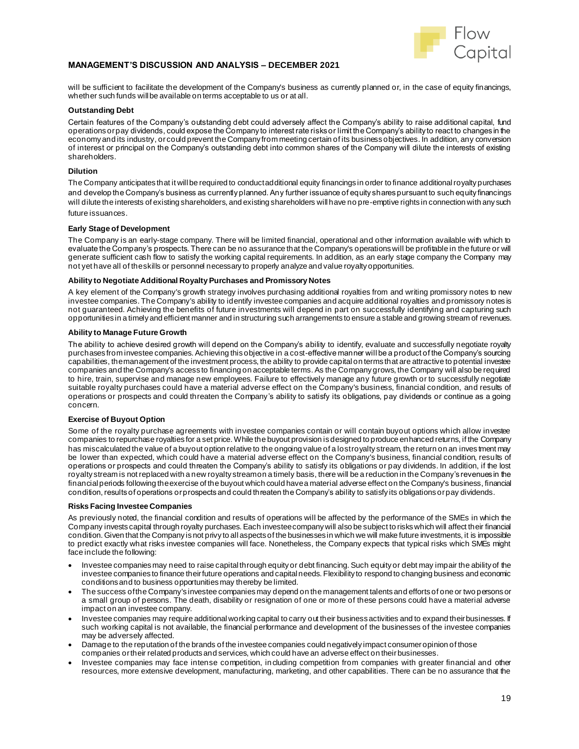

will be sufficient to facilitate the development of the Company's business as currently planned or, in the case of equity financings, whether such funds will be available on terms acceptable to us or at all.

#### **Outstanding Debt**

Certain features of the Company's outstanding debt could adversely affect the Company's ability to raise additional capital, fund operations or pay dividends, could expose the Company to interest rate risks or limit the Company's ability to react to changes in the economy and its industry, or could prevent the Company from meeting certain of its business objectives. In addition, any conversion of interest or principal on the Company's outstanding debt into common shares of the Company will dilute the interests of existing shareholders.

# **Dilution**

The Company anticipates that it will be required to conduct additional equity financings in order to finance additional royalty purchases and develop the Company's business as currently planned. Any further issuance of equity shares pursuant to such equity financings will dilute the interests of existing shareholders, and existing shareholders will have no pre-emptive rights in connection with any such future issuances.

# **Early Stage of Development**

The Company is an early-stage company. There will be limited financial, operational and other information available with which to evaluate the Company's prospects. There can be no assurance that the Company's operations will be profitable in the future or will generate sufficient cash flow to satisfy the working capital requirements. In addition, as an early stage company the Company may not yet have all of the skills or personnel necessary to properly analyze and value royalty opportunities.

## **Ability to Negotiate Additional Royalty Purchases and Promissory Notes**

A key element of the Company's growth strategy involves purchasing additional royalties from and writing promissory notes to new investee companies. The Company's ability to identify investee companies and acquire additional royalties and promissory notes is not guaranteed. Achieving the benefits of future investments will depend in part on successfully identifying and capturing such opportunities in a timely and efficient manner and in structuring such arrangements to ensure a stable and growing stream of revenues.

## **Ability to Manage Future Growth**

The ability to achieve desired growth will depend on the Company's ability to identify, evaluate and successfully negotiate royalty purchases from investee companies. Achieving this objective in a cost-effective manner will be a product of the Company's sourcing capabilities, the management of the investment process, the ability to provide capital on terms that are attractive to potential investee companies and the Company's access to financing on acceptable terms. As the Company grows, the Company will also be required to hire, train, supervise and manage new employees. Failure to effectively manage any future growth or to successfully negotiate suitable royalty purchases could have a material adverse effect on the Company's business, financial condition, and results of operations or prospects and could threaten the Company's ability to satisfy its obligations, pay dividends or continue as a going concern.

# **Exercise of Buyout Option**

Some of the royalty purchase agreements with investee companies contain or will contain buyout options which allow investee companies to repurchase royalties for a set price. While the buyout provision is designed to produce enhanced returns, if the Company has miscalculated the value of a buyout option relative to the ongoing value of a lost royalty stream, the return on an inves tment may be lower than expected, which could have a material adverse effect on the Company's business, financial condition, results of operations or prospects and could threaten the Company's ability to satisfy its obligations or pay dividends. In addition, if the lost royalty stream is not replaced with a new royalty stream on a timely basis, there will be a reduction in the Company's revenues in the financial periods following the exercise of the buyout which could have a material adverse effect on the Company's business, financial condition, results of operations or prospects and could threaten the Company's ability to satisfy its obligations or pay dividends.

#### **Risks Facing Investee Companies**

As previously noted, the financial condition and results of operations will be affected by the performance of the SMEs in which the Company invests capital through royalty purchases. Each investee company will also be subject to risks which will affect their financial condition. Given that the Company is not privy to all aspects of the businesses in which we will make future investments, it is impossible to predict exactly what risks investee companies will face. Nonetheless, the Company expects that typical risks which SMEs might face include the following:

- Investee companies may need to raise capital through equity or debt financing. Such equity or debt may impair the ability of the investee companies to finance their future operations and capital needs. Flexibility to respond to changing business and economic conditions and to business opportunities may thereby be limited.
- The success of the Company's investee companies may depend on the management talents and efforts of one or two persons or a small group of persons. The death, disability or resignation of one or more of these persons could have a material adverse impact on an investee company.
- Investee companies may require additional working capital to carry out their business activities and to expand their businesses. If such working capital is not available, the financial performance and development of the businesses of the investee companies may be adversely affected.
- Damage to the reputation of the brands of the investee companies could negatively impact consumer opinion of those companies or their related products and services, which could have an adverse effect on their businesses.
- Investee companies may face intense competition, including competition from companies with greater financial and other resources, more extensive development, manufacturing, marketing, and other capabilities. There can be no assurance that the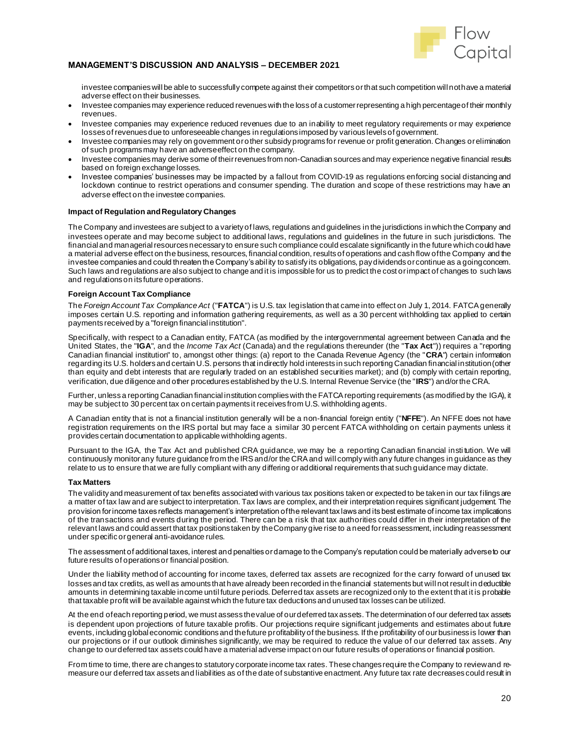

investee companies will be able to successfully compete against their competitors or that such competition will not have a material adverse effect on their businesses.

- Investee companies may experience reduced revenues with the loss of a customer representing a high percentage of their monthly revenues.
- Investee companies may experience reduced revenues due to an inability to meet regulatory requirements or may experience losses of revenues due to unforeseeable changes in regulations imposed by various levels of government.
- Investee companies may rely on government or other subsidy programs for revenue or profit generation. Changes or elimination of such programs may have an adverse effect on the company.
- Investee companies may derive some of their revenues from non-Canadian sources and may experience negative financial results based on foreign exchange losses.
- Investee companies' businesses may be impacted by a fallout from COVID-19 as regulations enforcing social distancing and lockdown continue to restrict operations and consumer spending. The duration and scope of these restrictions may have an adverse effect on the investee companies.

#### **Impact of Regulation and Regulatory Changes**

The Company and investees are subject to a variety of laws, regulations and guidelines in the jurisdictions in which the Company and investees operate and may become subject to additional laws, regulations and guidelines in the future in such jurisdictions. The financial and managerial resources necessary to ensure such compliance could escalate significantly in the future which could have a material adverse effect on the business, resources, financial condition, results of operations and cash flow of the Company and the investee companies and could threaten the Company's ability to satisfy its obligations, pay dividends or continue as a going concern. Such laws and regulations are also subject to change and it is impossible for us to predict the cost or impact of changes to such laws and regulations on its future operations.

#### **Foreign Account Tax Compliance**

The *Foreign Account Tax Compliance Act* ("**FATCA**") is U.S. tax legislation that came into effect on July 1, 2014. FATCA generally imposes certain U.S. reporting and information gathering requirements, as well as a 30 percent withholding tax applied to certain payments received by a "foreign financial institution".

Specifically, with respect to a Canadian entity, FATCA (as modified by the intergovernmental agreement between Canada and the United States, the "**IGA**", and the *Income Tax Act* (Canada) and the regulations thereunder (the "**Tax Act**")) requires a "reporting Canadian financial institution" to, amongst other things: (a) report to the Canada Revenue Agency (the "**CRA**") certain information regarding its U.S. holders and certain U.S. persons that indirectly hold interests in such reporting Canadian financial institution (other than equity and debt interests that are regularly traded on an established securities market); and (b) comply with certain reporting, verification, due diligence and other procedures established by the U.S. Internal Revenue Service (the "**IRS**") and/or the CRA.

Further, unless a reporting Canadian financial institution complies with the FATCA reporting requirements (as modified by the IGA), it may be subject to 30 percent tax on certain payments it receives from U.S. withholding agents.

A Canadian entity that is not a financial institution generally will be a non-financial foreign entity ("**NFFE**"). An NFFE does not have registration requirements on the IRS portal but may face a similar 30 percent FATCA withholding on certain payments unless it provides certain documentation to applicable withholding agents.

Pursuant to the IGA, the Tax Act and published CRA guidance, we may be a reporting Canadian financial insti tution. We will continuously monitor any future guidance from the IRS and/or the CRA and will comply with any future changes in guidance as they relate to us to ensure that we are fully compliant with any differing or additional requirements that such guidance may dictate.

### **Tax Matters**

The validity and measurement of tax benefits associated with various tax positions taken or expected to be taken in our tax filings are a matter of tax law and are subject to interpretation. Tax laws are complex, and their interpretation requires significant judgement. The provision for income taxes reflects management's interpretation of the relevant tax laws and its best estimate of income tax implications of the transactions and events during the period. There can be a risk that tax authorities could differ in their interpretation of the relevant laws and could assert that tax positions taken by the Company give rise to a need for reassessment, including reassessment under specific or general anti-avoidance rules.

The assessment of additional taxes, interest and penalties or damage to the Company's reputation could be materially adverse to our future results of operations or financial position.

Under the liability method of accounting for income taxes, deferred tax assets are recognized for the carry forward of unused tax losses and tax credits, as well as amounts that have already been recorded in the financial statements but will not result in deductible amounts in determining taxable income until future periods. Deferred tax assets are recognized only to the extent that it is probable that taxable profit will be available against which the future tax deductions and unused tax losses can be utilized.

At the end of each reporting period, we must assess the value of our deferred tax assets. The determination of our deferred tax assets is dependent upon projections of future taxable profits. Our projections require significant judgements and estimates about future events, including global economic conditions and the future profitability of the business. If the profitability of our business is lower than our projections or if our outlook diminishes significantly, we may be required to reduce the value of our deferred tax assets. Any change to our deferred tax assets could have a material adverse impact on our future results of operations or financial position.

From time to time, there are changes to statutory corporate income tax rates. These changes require the Company to review and remeasure our deferred tax assets and liabilities as of the date of substantive enactment. Any future tax rate decreases could result in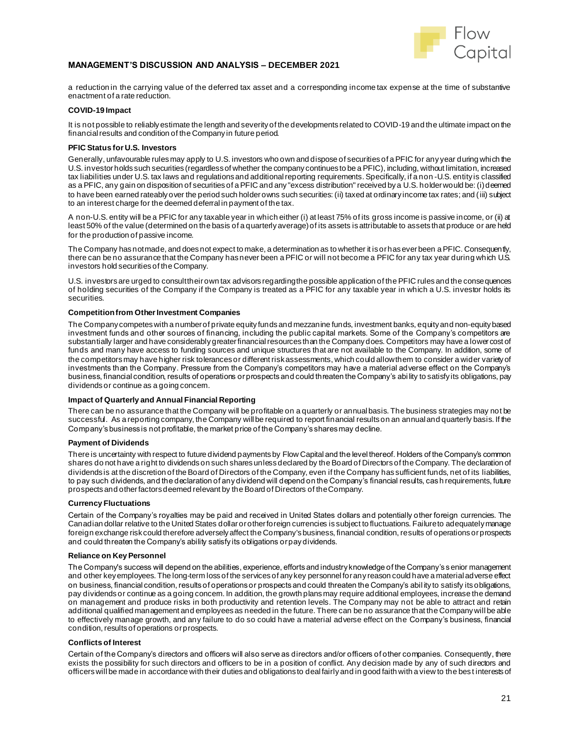

a reduction in the carrying value of the deferred tax asset and a corresponding income tax expense at the time of substantive enactment of a rate reduction.

#### **COVID-19 Impact**

It is not possible to reliably estimate the length and severity of the developments related to COVID-19 and the ultimate impact on the financial results and condition of the Company in future period.

#### **PFIC Status for U.S. Investors**

Generally, unfavourable rules may apply to U.S. investors who own and dispose of securities of a PFIC for any year during which the U.S. investor holds such securities (regardless of whether the company continues to be a PFIC), including, without limitation, increased tax liabilities under U.S. tax laws and regulations and additional reporting requirements. Specifically, if a non -U.S. entity is classified as a PFIC, any gain on disposition of securities of a PFIC and any "excess distribution" received by a U.S. holder would be: (i) deemed to have been earned rateably over the period such holder owns such securities: (ii) taxed at ordinary income tax rates; and (iii) subject to an interest charge for the deemed deferral in payment of the tax.

A non-U.S. entity will be a PFIC for any taxable year in which either (i) at least 75% of its gross income is passive income, or (ii) at least 50% of the value (determined on the basis of a quarterly average) of its assets is attributable to assets that produce or are held for the production of passive income.

The Company has notmade, and does not expect to make, a determination as to whether it is or has ever been a PFIC. Consequently, there can be no assurance that the Company has never been a PFIC or will not become a PFIC for any tax year during which U.S. investors hold securities of the Company.

U.S. investors are urged to consult their own tax advisors regarding the possible application of the PFIC rules and the consequences of holding securities of the Company if the Company is treated as a PFIC for any taxable year in which a U.S. investor holds its securities.

### **Competition from Other Investment Companies**

The Company competes with a number of private equity funds and mezzanine funds, investment banks, equity and non-equity based investment funds and other sources of financing, including the public capital markets. Some of the Company's competitors are substantially larger and have considerably greater financial resources than the Company does. Competitors may have a lower cost of funds and many have access to funding sources and unique structures that are not available to the Company. In addition, some of the competitors may have higher risk tolerances or different risk assessments, which could allow them to consider a wider variety of investments than the Company. Pressure from the Company's competitors may have a material adverse effect on the Company's business, financial condition, results of operations or prospects and could threaten the Company's abi lity to satisfy its obligations, pay dividends or continue as a going concern.

# **Impact of Quarterly and Annual Financial Reporting**

There can be no assurance that the Company will be profitable on a quarterly or annual basis. The business strategies may not be successful. As a reporting company, the Company will be required to report financial results on an annual and quarterly basis. If the Company's business is not profitable, the market price of the Company's shares may decline.

#### **Payment of Dividends**

There is uncertainty with respect to future dividend payments by Flow Capital and the level thereof. Holders of the Company's common shares do not have a right to dividends on such shares unless declared by the Board of Directors of the Company. The declaration of dividends is at the discretion of the Board of Directors of the Company, even if the Company has sufficient funds, net of its liabilities, to pay such dividends, and the declaration of any dividend will depend on the Company's financial results, cas h requirements, future prospects and other factors deemed relevant by the Board of Directors of the Company.

#### **Currency Fluctuations**

Certain of the Company's royalties may be paid and received in United States dollars and potentially other foreign currencies. The Canadian dollar relative to the United States dollar or other foreign currencies is subject to fluctuations. Failure to adequately manage foreign exchange risk could therefore adversely affect the Company's business, financial condition, results of operations or prospects and could threaten the Company's ability satisfy its obligations or pay dividends.

#### **Reliance on Key Personnel**

The Company's success will depend on the abilities, experience, efforts and industry knowledge of the Company's senior management and other key employees. The long-term loss of the services of any key personnel for any reason could have a material adverse effect on business, financial condition, results of operations or prospects and could threaten the Company's abil ity to satisfy its obligations, pay dividends or continue as a going concern. In addition, the growth plans may require additional employees, increase the demand on management and produce risks in both productivity and retention levels. The Company may not be able to attract and retain additional qualified management and employees as needed in the future. There can be no assurance that the Company will be able to effectively manage growth, and any failure to do so could have a material adverse effect on the Company's business, financial condition, results of operations or prospects.

# **Conflicts of Interest**

Certain of the Company's directors and officers will also serve as directors and/or officers of other companies. Consequently, there exists the possibility for such directors and officers to be in a position of conflict. Any decision made by any of such directors and officers will be made in accordance with their duties and obligations to deal fairly and in good faith with a view to the bes t interests of